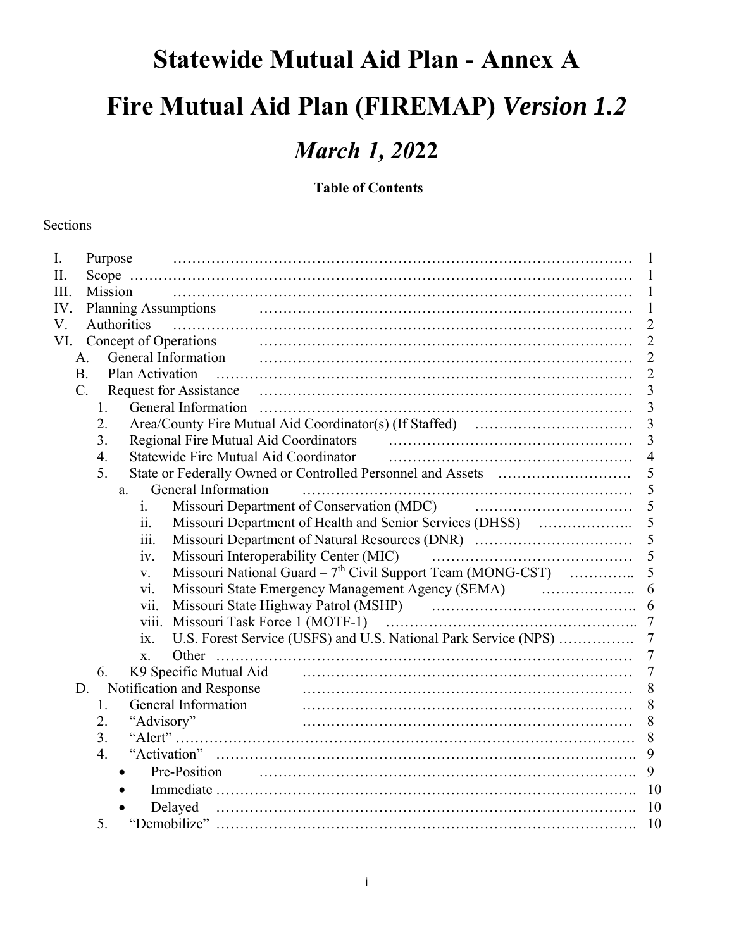### **Statewide Mutual Aid Plan - Annex A**

## **Fire Mutual Aid Plan (FIREMAP)** *Version 1.2*

### *March 1, 20***22**

### **Table of Contents**

#### Sections

| 1              |
|----------------|
| $\overline{2}$ |
| $\overline{2}$ |
| $\overline{2}$ |
| $\overline{2}$ |
| 3              |
| $\overline{3}$ |
| $\overline{3}$ |
| 3              |
| 4              |
| 5              |
| 5              |
| 5              |
| 5              |
| 5              |
| 5              |
| 5              |
| 6              |
|                |
| $\overline{7}$ |
| $\overline{7}$ |
| 7              |
| 7              |
| 8              |
| 8              |
| 8              |
| 8              |
| 9              |
| 9              |
| 10             |
| 10             |
| 10             |
|                |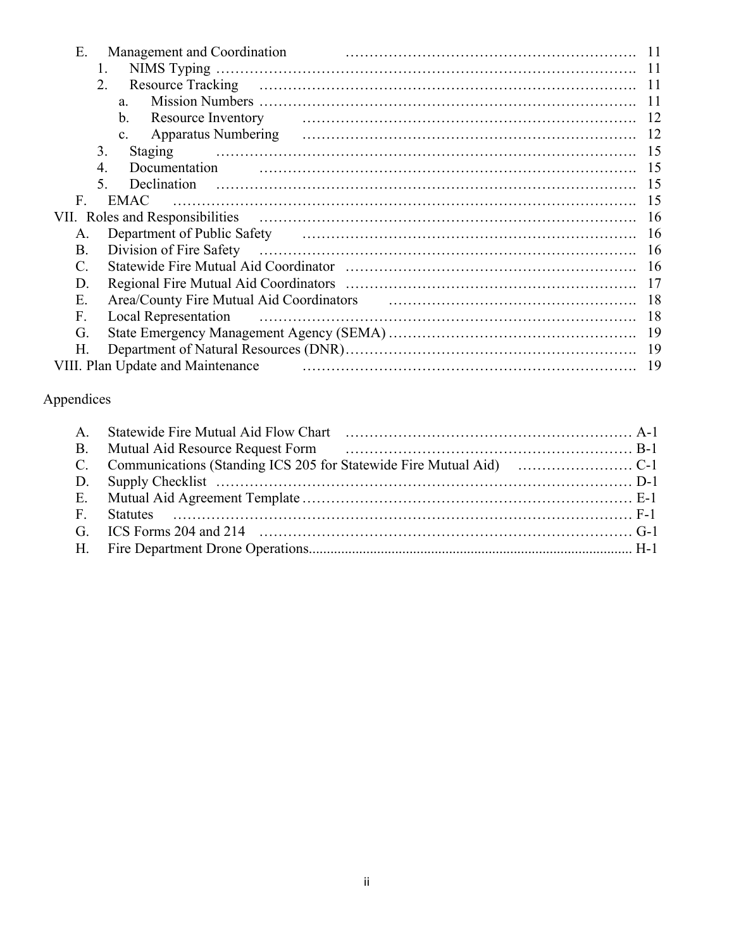| Ε.<br>Management and Coordination                                                                                                                                                                                                    |     |
|--------------------------------------------------------------------------------------------------------------------------------------------------------------------------------------------------------------------------------------|-----|
| 1.                                                                                                                                                                                                                                   | -11 |
| 2.                                                                                                                                                                                                                                   |     |
| a.                                                                                                                                                                                                                                   |     |
| b.                                                                                                                                                                                                                                   |     |
| c.                                                                                                                                                                                                                                   |     |
| 3.                                                                                                                                                                                                                                   |     |
| Documentation<br>4.                                                                                                                                                                                                                  |     |
| Declination<br>$\mathcal{F}$                                                                                                                                                                                                         | 15  |
| $F_{\cdot}$<br>EMAC                                                                                                                                                                                                                  | -15 |
|                                                                                                                                                                                                                                      |     |
| Department of Public Safety (and according to the settlement of Public Safety (and according to the settlement of Public Safety<br>A.                                                                                                |     |
| B.                                                                                                                                                                                                                                   |     |
| $C_{\cdot}$                                                                                                                                                                                                                          |     |
| D.                                                                                                                                                                                                                                   |     |
| Area/County Fire Mutual Aid Coordinators (and the continuum of the Mutual Aid Coordinators (and the continuum of the continuum of the continuum of the continuum of the continuum of the continuum of the continuum of the con<br>Ε. |     |
| <b>Local Representation</b><br>F.                                                                                                                                                                                                    | 18  |
| G.                                                                                                                                                                                                                                   |     |
| Н.                                                                                                                                                                                                                                   |     |
| VIII. Plan Update and Maintenance                                                                                                                                                                                                    | 19  |

### Appendices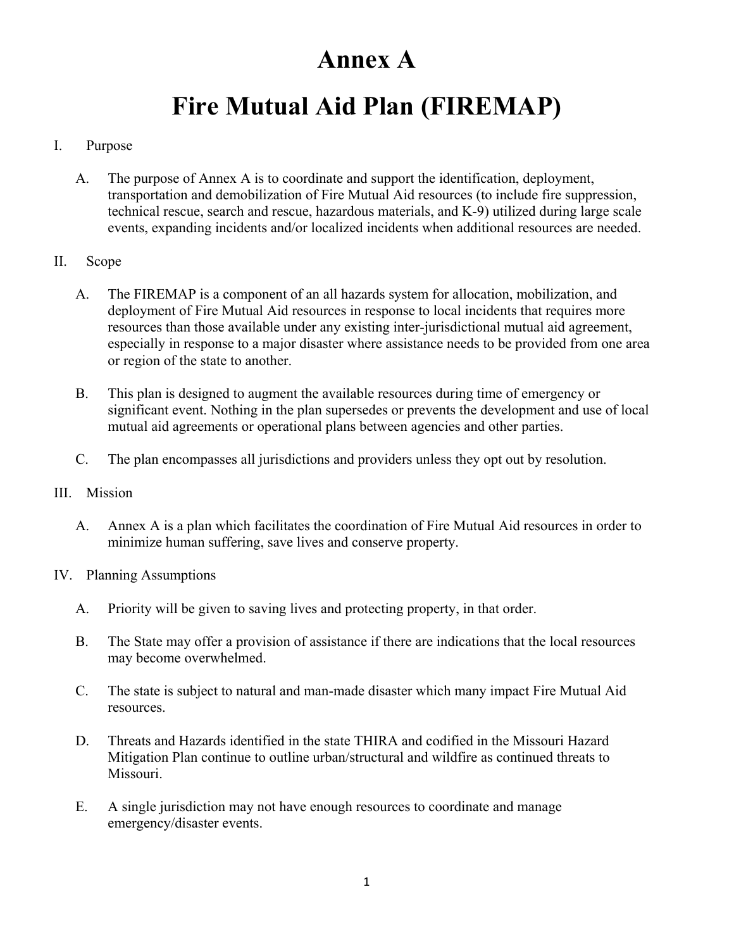### **Annex A**

## **Fire Mutual Aid Plan (FIREMAP)**

### I. Purpose

A. The purpose of Annex A is to coordinate and support the identification, deployment, transportation and demobilization of Fire Mutual Aid resources (to include fire suppression, technical rescue, search and rescue, hazardous materials, and K-9) utilized during large scale events, expanding incidents and/or localized incidents when additional resources are needed.

#### II. Scope

- A. The FIREMAP is a component of an all hazards system for allocation, mobilization, and deployment of Fire Mutual Aid resources in response to local incidents that requires more resources than those available under any existing inter-jurisdictional mutual aid agreement, especially in response to a major disaster where assistance needs to be provided from one area or region of the state to another.
- B. This plan is designed to augment the available resources during time of emergency or significant event. Nothing in the plan supersedes or prevents the development and use of local mutual aid agreements or operational plans between agencies and other parties.
- C. The plan encompasses all jurisdictions and providers unless they opt out by resolution.
- III. Mission
	- A. Annex A is a plan which facilitates the coordination of Fire Mutual Aid resources in order to minimize human suffering, save lives and conserve property.
- IV. Planning Assumptions
	- A. Priority will be given to saving lives and protecting property, in that order.
	- B. The State may offer a provision of assistance if there are indications that the local resources may become overwhelmed.
	- C. The state is subject to natural and man-made disaster which many impact Fire Mutual Aid resources.
	- D. Threats and Hazards identified in the state THIRA and codified in the Missouri Hazard Mitigation Plan continue to outline urban/structural and wildfire as continued threats to Missouri.
	- E. A single jurisdiction may not have enough resources to coordinate and manage emergency/disaster events.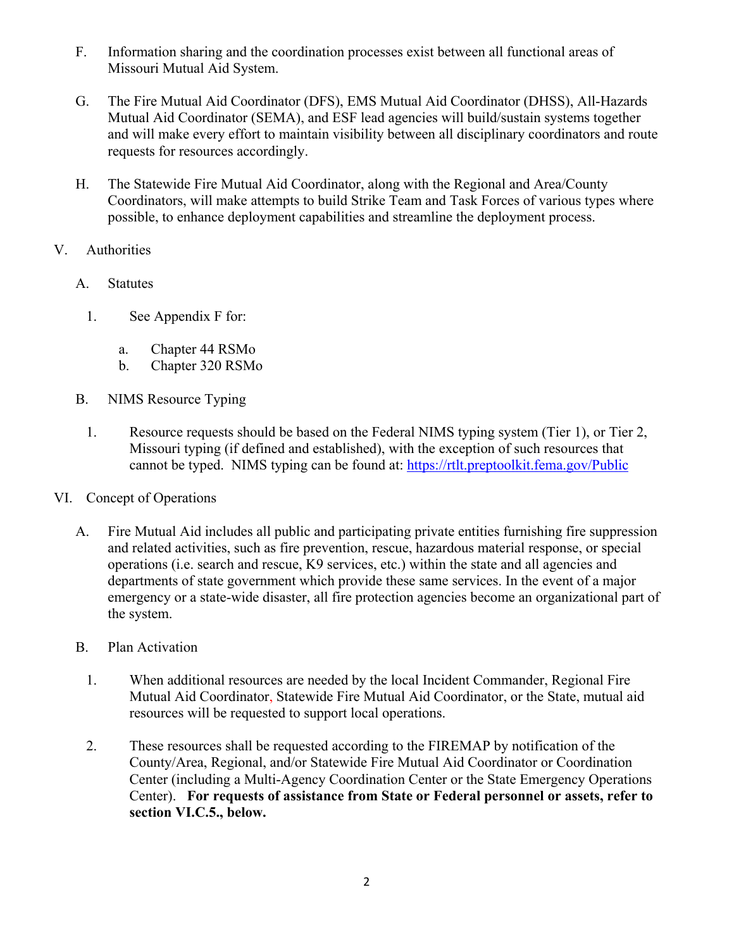- F. Information sharing and the coordination processes exist between all functional areas of Missouri Mutual Aid System.
- G. The Fire Mutual Aid Coordinator (DFS), EMS Mutual Aid Coordinator (DHSS), All-Hazards Mutual Aid Coordinator (SEMA), and ESF lead agencies will build/sustain systems together and will make every effort to maintain visibility between all disciplinary coordinators and route requests for resources accordingly.
- H. The Statewide Fire Mutual Aid Coordinator, along with the Regional and Area/County Coordinators, will make attempts to build Strike Team and Task Forces of various types where possible, to enhance deployment capabilities and streamline the deployment process.
- V. Authorities
	- A. Statutes
		- 1. See Appendix F for:
			- a. Chapter 44 RSMo
			- b. Chapter 320 RSMo
	- B. NIMS Resource Typing
		- 1. Resource requests should be based on the Federal NIMS typing system (Tier 1), or Tier 2, Missouri typing (if defined and established), with the exception of such resources that cannot be typed. NIMS typing can be found at: https://rtlt.preptoolkit.fema.gov/Public
- VI. Concept of Operations
	- A. Fire Mutual Aid includes all public and participating private entities furnishing fire suppression and related activities, such as fire prevention, rescue, hazardous material response, or special operations (i.e. search and rescue, K9 services, etc.) within the state and all agencies and departments of state government which provide these same services. In the event of a major emergency or a state-wide disaster, all fire protection agencies become an organizational part of the system.
	- B. Plan Activation
		- 1. When additional resources are needed by the local Incident Commander, Regional Fire Mutual Aid Coordinator, Statewide Fire Mutual Aid Coordinator, or the State, mutual aid resources will be requested to support local operations.
		- 2. These resources shall be requested according to the FIREMAP by notification of the County/Area, Regional, and/or Statewide Fire Mutual Aid Coordinator or Coordination Center (including a Multi-Agency Coordination Center or the State Emergency Operations Center). **For requests of assistance from State or Federal personnel or assets, refer to section VI.C.5., below.**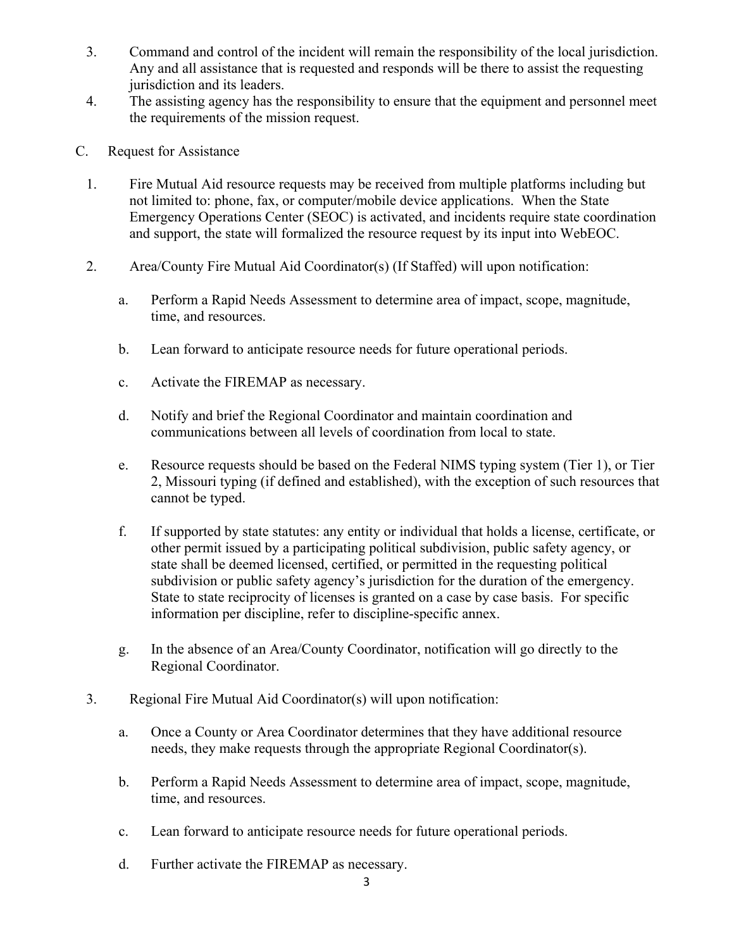- 3. Command and control of the incident will remain the responsibility of the local jurisdiction. Any and all assistance that is requested and responds will be there to assist the requesting jurisdiction and its leaders.
- 4. The assisting agency has the responsibility to ensure that the equipment and personnel meet the requirements of the mission request.
- C. Request for Assistance
	- 1. Fire Mutual Aid resource requests may be received from multiple platforms including but not limited to: phone, fax, or computer/mobile device applications. When the State Emergency Operations Center (SEOC) is activated, and incidents require state coordination and support, the state will formalized the resource request by its input into WebEOC.
	- 2. Area/County Fire Mutual Aid Coordinator(s) (If Staffed) will upon notification:
		- a. Perform a Rapid Needs Assessment to determine area of impact, scope, magnitude, time, and resources.
		- b. Lean forward to anticipate resource needs for future operational periods.
		- c. Activate the FIREMAP as necessary.
		- d. Notify and brief the Regional Coordinator and maintain coordination and communications between all levels of coordination from local to state.
		- e. Resource requests should be based on the Federal NIMS typing system (Tier 1), or Tier 2, Missouri typing (if defined and established), with the exception of such resources that cannot be typed.
		- f. If supported by state statutes: any entity or individual that holds a license, certificate, or other permit issued by a participating political subdivision, public safety agency, or state shall be deemed licensed, certified, or permitted in the requesting political subdivision or public safety agency's jurisdiction for the duration of the emergency. State to state reciprocity of licenses is granted on a case by case basis. For specific information per discipline, refer to discipline-specific annex.
		- g. In the absence of an Area/County Coordinator, notification will go directly to the Regional Coordinator.
	- 3. Regional Fire Mutual Aid Coordinator(s) will upon notification:
		- a. Once a County or Area Coordinator determines that they have additional resource needs, they make requests through the appropriate Regional Coordinator(s).
		- b. Perform a Rapid Needs Assessment to determine area of impact, scope, magnitude, time, and resources.
		- c. Lean forward to anticipate resource needs for future operational periods.
		- d. Further activate the FIREMAP as necessary.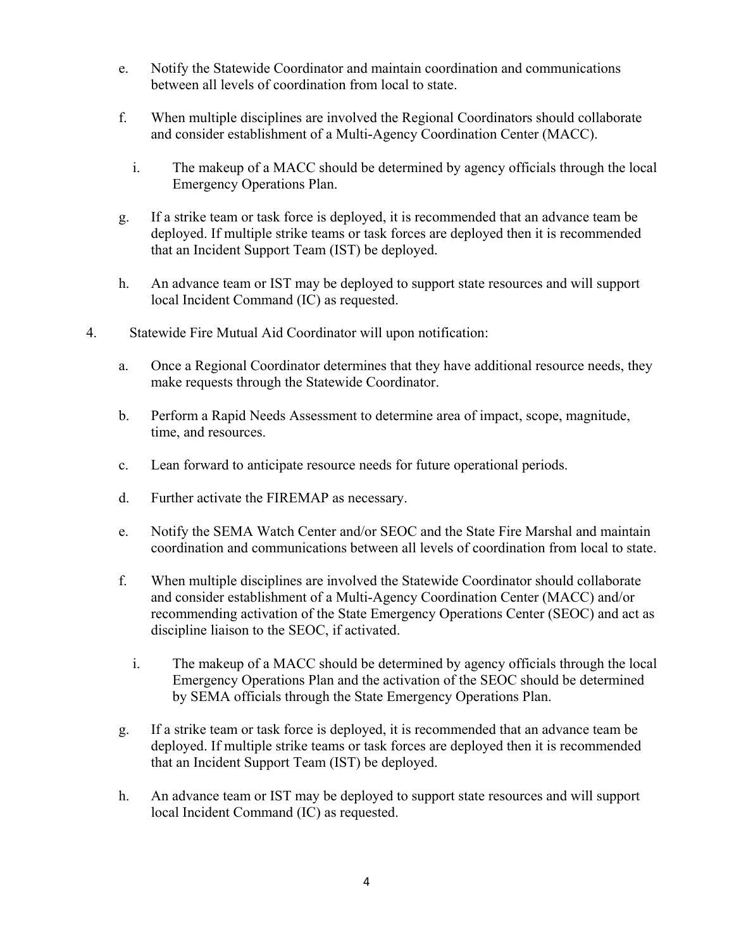- e. Notify the Statewide Coordinator and maintain coordination and communications between all levels of coordination from local to state.
- f. When multiple disciplines are involved the Regional Coordinators should collaborate and consider establishment of a Multi-Agency Coordination Center (MACC).
	- i. The makeup of a MACC should be determined by agency officials through the local Emergency Operations Plan.
- g. If a strike team or task force is deployed, it is recommended that an advance team be deployed. If multiple strike teams or task forces are deployed then it is recommended that an Incident Support Team (IST) be deployed.
- h. An advance team or IST may be deployed to support state resources and will support local Incident Command (IC) as requested.
- 4. Statewide Fire Mutual Aid Coordinator will upon notification:
	- a. Once a Regional Coordinator determines that they have additional resource needs, they make requests through the Statewide Coordinator.
	- b. Perform a Rapid Needs Assessment to determine area of impact, scope, magnitude, time, and resources.
	- c. Lean forward to anticipate resource needs for future operational periods.
	- d. Further activate the FIREMAP as necessary.
	- e. Notify the SEMA Watch Center and/or SEOC and the State Fire Marshal and maintain coordination and communications between all levels of coordination from local to state.
	- f. When multiple disciplines are involved the Statewide Coordinator should collaborate and consider establishment of a Multi-Agency Coordination Center (MACC) and/or recommending activation of the State Emergency Operations Center (SEOC) and act as discipline liaison to the SEOC, if activated.
		- i. The makeup of a MACC should be determined by agency officials through the local Emergency Operations Plan and the activation of the SEOC should be determined by SEMA officials through the State Emergency Operations Plan.
	- g. If a strike team or task force is deployed, it is recommended that an advance team be deployed. If multiple strike teams or task forces are deployed then it is recommended that an Incident Support Team (IST) be deployed.
	- h. An advance team or IST may be deployed to support state resources and will support local Incident Command (IC) as requested.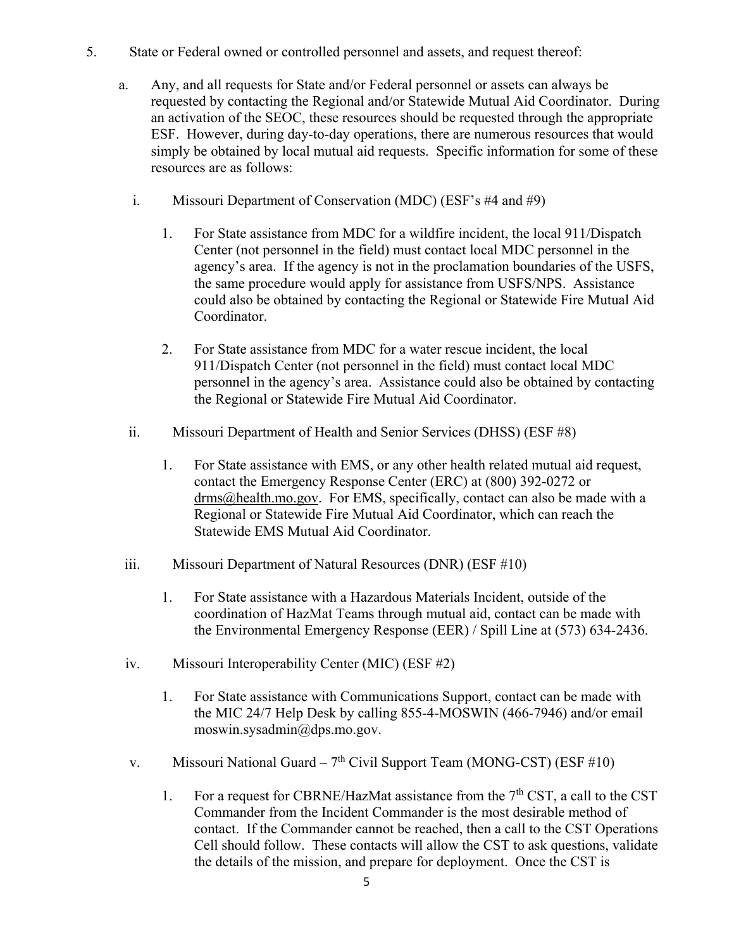- 5. State or Federal owned or controlled personnel and assets, and request thereof:
	- a. Any, and all requests for State and/or Federal personnel or assets can always be requested by contacting the Regional and/or Statewide Mutual Aid Coordinator. During an activation of the SEOC, these resources should be requested through the appropriate ESF. However, during day-to-day operations, there are numerous resources that would simply be obtained by local mutual aid requests. Specific information for some of these resources are as follows:
		- i. Missouri Department of Conservation (MDC) (ESF's #4 and #9)
			- 1. For State assistance from MDC for a wildfire incident, the local 911/Dispatch Center (not personnel in the field) must contact local MDC personnel in the agency's area. If the agency is not in the proclamation boundaries of the USFS, the same procedure would apply for assistance from USFS/NPS. Assistance could also be obtained by contacting the Regional or Statewide Fire Mutual Aid Coordinator.
			- 2. For State assistance from MDC for a water rescue incident, the local 911/Dispatch Center (not personnel in the field) must contact local MDC personnel in the agency's area. Assistance could also be obtained by contacting the Regional or Statewide Fire Mutual Aid Coordinator.
		- ii. Missouri Department of Health and Senior Services (DHSS) (ESF #8)
			- 1. For State assistance with EMS, or any other health related mutual aid request, contact the Emergency Response Center (ERC) at (800) 392-0272 or drms@health.mo.gov. For EMS, specifically, contact can also be made with a Regional or Statewide Fire Mutual Aid Coordinator, which can reach the Statewide EMS Mutual Aid Coordinator.
	- iii. Missouri Department of Natural Resources (DNR) (ESF #10)
		- 1. For State assistance with a Hazardous Materials Incident, outside of the coordination of HazMat Teams through mutual aid, contact can be made with the Environmental Emergency Response (EER) / Spill Line at (573) 634-2436.
	- iv. Missouri Interoperability Center (MIC) (ESF #2)
		- 1. For State assistance with Communications Support, contact can be made with the MIC 24/7 Help Desk by calling 855-4-MOSWIN (466-7946) and/or email moswin.sysadmin@dps.mo.gov.
	- v. Missouri National Guard  $7<sup>th</sup>$  Civil Support Team (MONG-CST) (ESF #10)
		- 1. For a request for CBRNE/HazMat assistance from the  $7<sup>th</sup>$  CST, a call to the CST Commander from the Incident Commander is the most desirable method of contact. If the Commander cannot be reached, then a call to the CST Operations Cell should follow. These contacts will allow the CST to ask questions, validate the details of the mission, and prepare for deployment. Once the CST is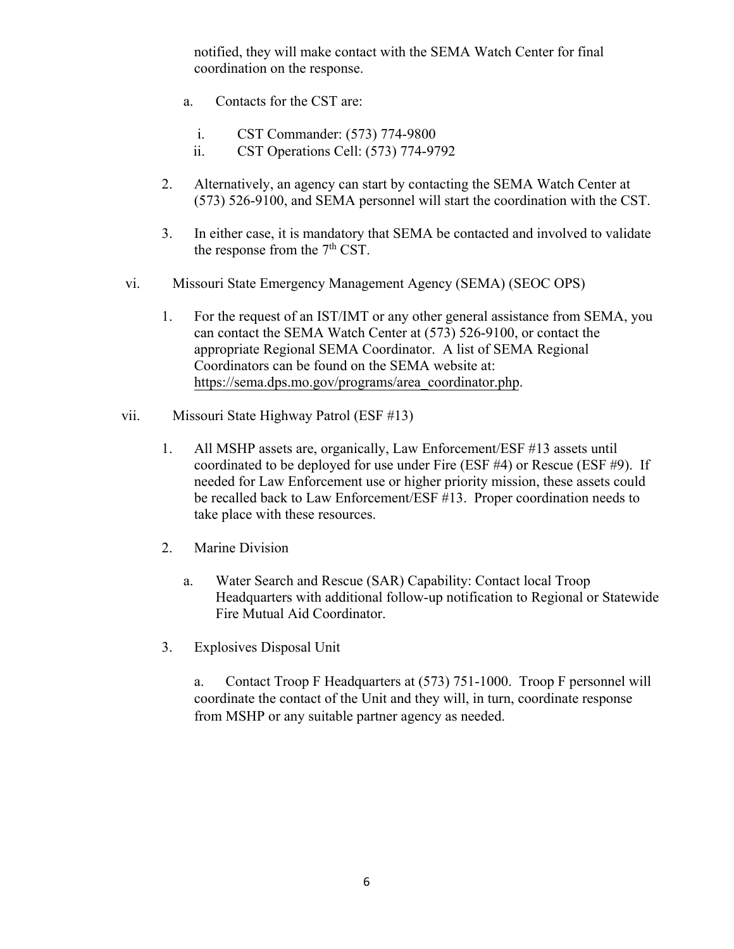notified, they will make contact with the SEMA Watch Center for final coordination on the response.

- a. Contacts for the CST are:
	- i. CST Commander: (573) 774-9800
	- ii. CST Operations Cell: (573) 774-9792
- 2. Alternatively, an agency can start by contacting the SEMA Watch Center at (573) 526-9100, and SEMA personnel will start the coordination with the CST.
- 3. In either case, it is mandatory that SEMA be contacted and involved to validate the response from the  $7<sup>th</sup>$  CST.
- vi. Missouri State Emergency Management Agency (SEMA) (SEOC OPS)
	- 1. For the request of an IST/IMT or any other general assistance from SEMA, you can contact the SEMA Watch Center at (573) 526-9100, or contact the appropriate Regional SEMA Coordinator. A list of SEMA Regional Coordinators can be found on the SEMA website at: https://sema.dps.mo.gov/programs/area\_coordinator.php.
- vii. Missouri State Highway Patrol (ESF #13)
	- 1. All MSHP assets are, organically, Law Enforcement/ESF #13 assets until coordinated to be deployed for use under Fire (ESF #4) or Rescue (ESF #9). If needed for Law Enforcement use or higher priority mission, these assets could be recalled back to Law Enforcement/ESF #13. Proper coordination needs to take place with these resources.
	- 2. Marine Division
		- a. Water Search and Rescue (SAR) Capability: Contact local Troop Headquarters with additional follow-up notification to Regional or Statewide Fire Mutual Aid Coordinator.
	- 3. Explosives Disposal Unit

a. Contact Troop F Headquarters at (573) 751-1000. Troop F personnel will coordinate the contact of the Unit and they will, in turn, coordinate response from MSHP or any suitable partner agency as needed.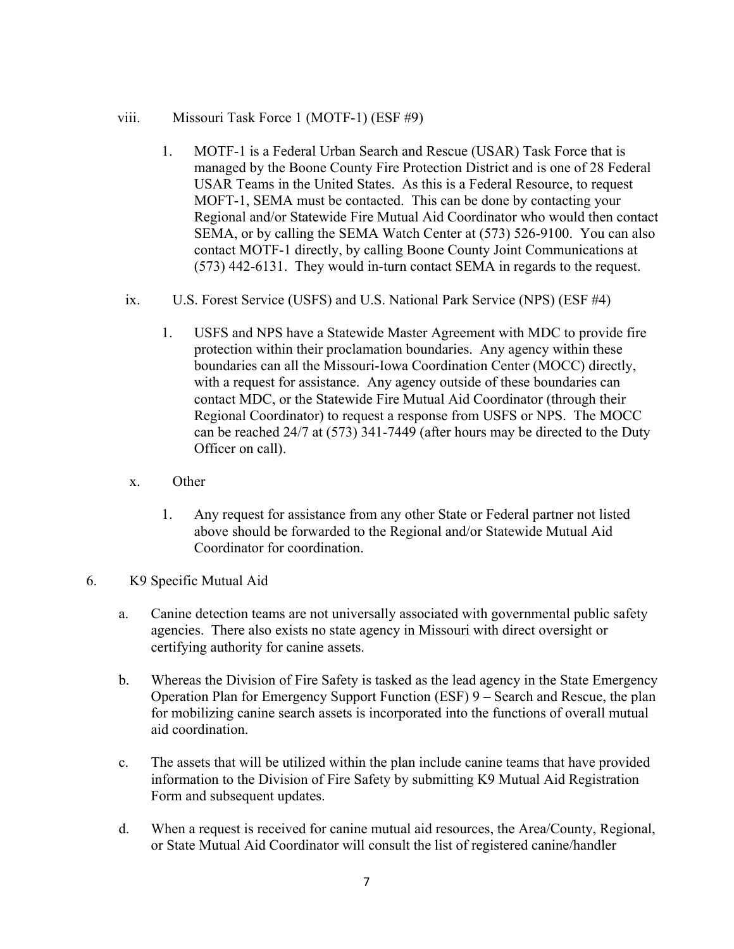- viii. Missouri Task Force 1 (MOTF-1) (ESF #9)
	- 1. MOTF-1 is a Federal Urban Search and Rescue (USAR) Task Force that is managed by the Boone County Fire Protection District and is one of 28 Federal USAR Teams in the United States. As this is a Federal Resource, to request MOFT-1, SEMA must be contacted. This can be done by contacting your Regional and/or Statewide Fire Mutual Aid Coordinator who would then contact SEMA, or by calling the SEMA Watch Center at (573) 526-9100. You can also contact MOTF-1 directly, by calling Boone County Joint Communications at (573) 442-6131. They would in-turn contact SEMA in regards to the request.
	- ix. U.S. Forest Service (USFS) and U.S. National Park Service (NPS) (ESF #4)
		- 1. USFS and NPS have a Statewide Master Agreement with MDC to provide fire protection within their proclamation boundaries. Any agency within these boundaries can all the Missouri-Iowa Coordination Center (MOCC) directly, with a request for assistance. Any agency outside of these boundaries can contact MDC, or the Statewide Fire Mutual Aid Coordinator (through their Regional Coordinator) to request a response from USFS or NPS. The MOCC can be reached 24/7 at (573) 341-7449 (after hours may be directed to the Duty Officer on call).
	- x. Other
		- 1. Any request for assistance from any other State or Federal partner not listed above should be forwarded to the Regional and/or Statewide Mutual Aid Coordinator for coordination.
- 6. K9 Specific Mutual Aid
	- a. Canine detection teams are not universally associated with governmental public safety agencies. There also exists no state agency in Missouri with direct oversight or certifying authority for canine assets.
	- b. Whereas the Division of Fire Safety is tasked as the lead agency in the State Emergency Operation Plan for Emergency Support Function (ESF) 9 – Search and Rescue, the plan for mobilizing canine search assets is incorporated into the functions of overall mutual aid coordination.
	- c. The assets that will be utilized within the plan include canine teams that have provided information to the Division of Fire Safety by submitting K9 Mutual Aid Registration Form and subsequent updates.
	- d. When a request is received for canine mutual aid resources, the Area/County, Regional, or State Mutual Aid Coordinator will consult the list of registered canine/handler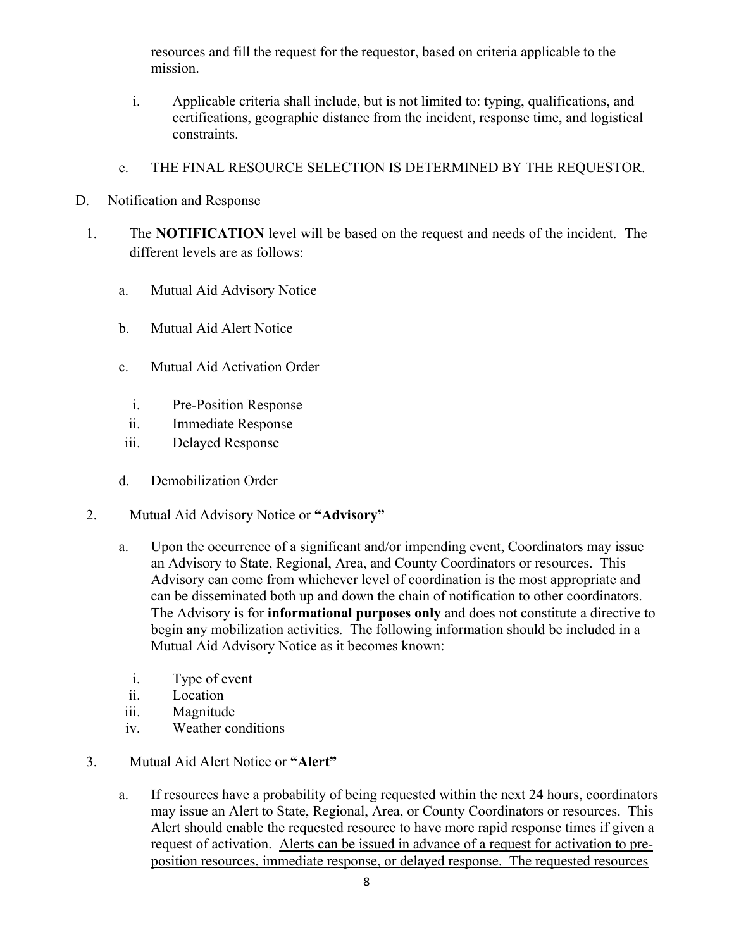resources and fill the request for the requestor, based on criteria applicable to the mission.

i. Applicable criteria shall include, but is not limited to: typing, qualifications, and certifications, geographic distance from the incident, response time, and logistical constraints.

### e. THE FINAL RESOURCE SELECTION IS DETERMINED BY THE REQUESTOR.

- D. Notification and Response
	- 1. The **NOTIFICATION** level will be based on the request and needs of the incident. The different levels are as follows:
		- a. Mutual Aid Advisory Notice
		- b. Mutual Aid Alert Notice
		- c. Mutual Aid Activation Order
			- i. Pre-Position Response
			- ii. Immediate Response
		- iii. Delayed Response
		- d. Demobilization Order
	- 2. Mutual Aid Advisory Notice or **"Advisory"**
		- a. Upon the occurrence of a significant and/or impending event, Coordinators may issue an Advisory to State, Regional, Area, and County Coordinators or resources. This Advisory can come from whichever level of coordination is the most appropriate and can be disseminated both up and down the chain of notification to other coordinators. The Advisory is for **informational purposes only** and does not constitute a directive to begin any mobilization activities. The following information should be included in a Mutual Aid Advisory Notice as it becomes known:
			- i. Type of event
			- ii. Location
			- iii. Magnitude
			- iv. Weather conditions
	- 3. Mutual Aid Alert Notice or **"Alert"**
		- a. If resources have a probability of being requested within the next 24 hours, coordinators may issue an Alert to State, Regional, Area, or County Coordinators or resources. This Alert should enable the requested resource to have more rapid response times if given a request of activation. Alerts can be issued in advance of a request for activation to preposition resources, immediate response, or delayed response. The requested resources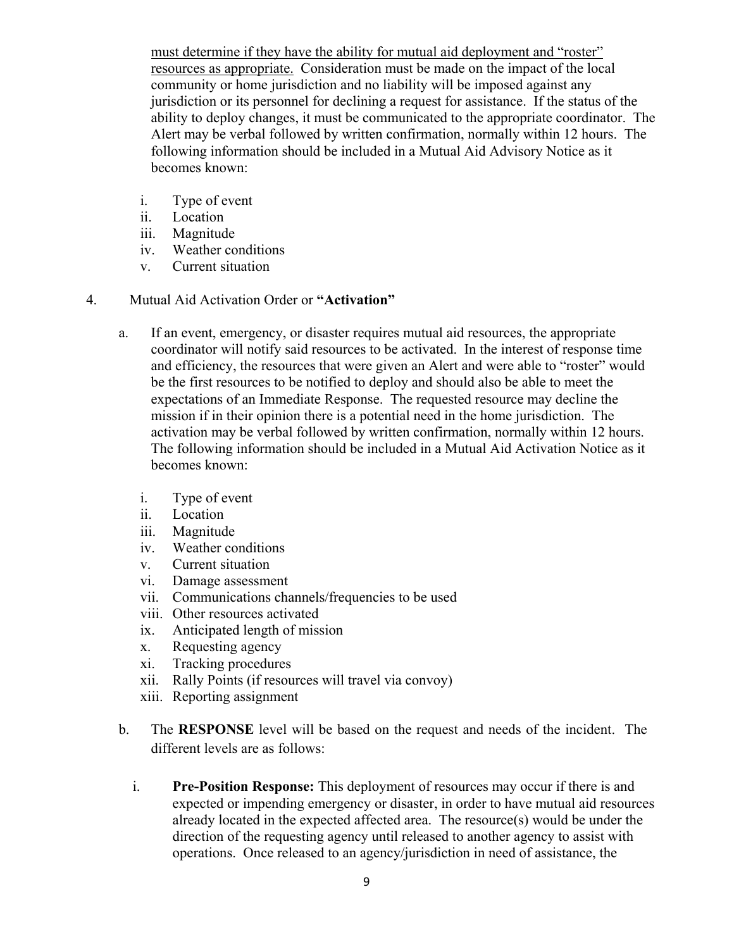must determine if they have the ability for mutual aid deployment and "roster" resources as appropriate. Consideration must be made on the impact of the local community or home jurisdiction and no liability will be imposed against any jurisdiction or its personnel for declining a request for assistance. If the status of the ability to deploy changes, it must be communicated to the appropriate coordinator. The Alert may be verbal followed by written confirmation, normally within 12 hours. The following information should be included in a Mutual Aid Advisory Notice as it becomes known:

- i. Type of event
- ii. Location
- iii. Magnitude
- iv. Weather conditions
- v. Current situation
- 4. Mutual Aid Activation Order or **"Activation"**
	- a. If an event, emergency, or disaster requires mutual aid resources, the appropriate coordinator will notify said resources to be activated. In the interest of response time and efficiency, the resources that were given an Alert and were able to "roster" would be the first resources to be notified to deploy and should also be able to meet the expectations of an Immediate Response. The requested resource may decline the mission if in their opinion there is a potential need in the home jurisdiction. The activation may be verbal followed by written confirmation, normally within 12 hours. The following information should be included in a Mutual Aid Activation Notice as it becomes known:
		- i. Type of event
		- ii. Location
		- iii. Magnitude
		- iv. Weather conditions
		- v. Current situation
		- vi. Damage assessment
		- vii. Communications channels/frequencies to be used
		- viii. Other resources activated
		- ix. Anticipated length of mission
		- x. Requesting agency
		- xi. Tracking procedures
		- xii. Rally Points (if resources will travel via convoy)
		- xiii. Reporting assignment
	- b. The **RESPONSE** level will be based on the request and needs of the incident. The different levels are as follows:
		- i. **Pre-Position Response:** This deployment of resources may occur if there is and expected or impending emergency or disaster, in order to have mutual aid resources already located in the expected affected area. The resource(s) would be under the direction of the requesting agency until released to another agency to assist with operations. Once released to an agency/jurisdiction in need of assistance, the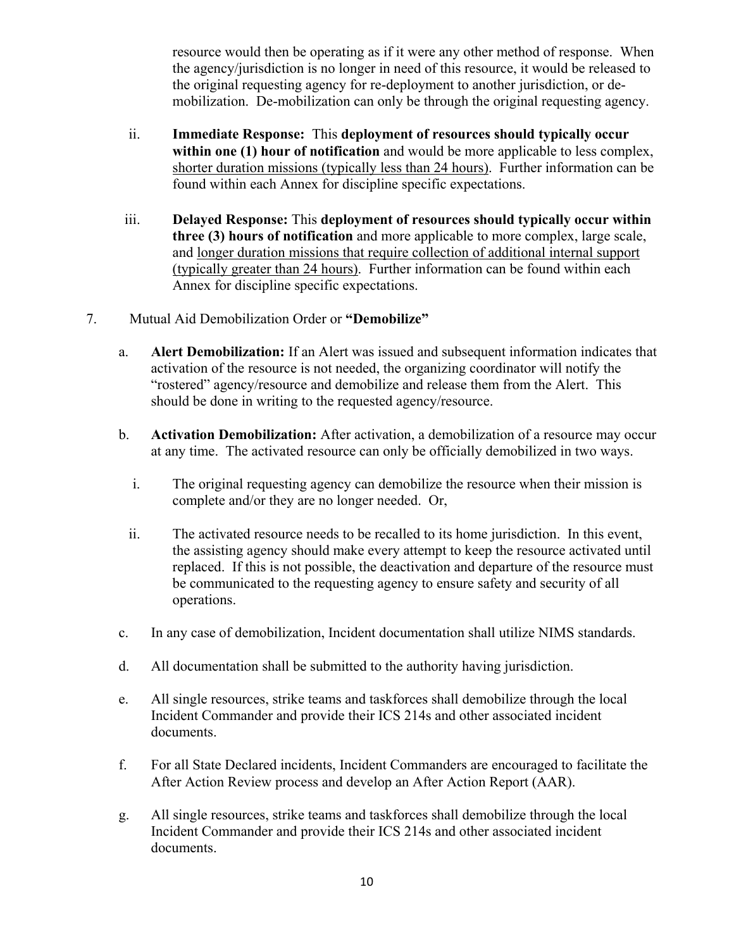resource would then be operating as if it were any other method of response. When the agency/jurisdiction is no longer in need of this resource, it would be released to the original requesting agency for re-deployment to another jurisdiction, or demobilization. De-mobilization can only be through the original requesting agency.

- ii. **Immediate Response:** This **deployment of resources should typically occur within one (1) hour of notification** and would be more applicable to less complex, shorter duration missions (typically less than 24 hours). Further information can be found within each Annex for discipline specific expectations.
- iii. **Delayed Response:** This **deployment of resources should typically occur within three (3) hours of notification** and more applicable to more complex, large scale, and longer duration missions that require collection of additional internal support (typically greater than 24 hours). Further information can be found within each Annex for discipline specific expectations.
- 7. Mutual Aid Demobilization Order or **"Demobilize"**
	- a. **Alert Demobilization:** If an Alert was issued and subsequent information indicates that activation of the resource is not needed, the organizing coordinator will notify the "rostered" agency/resource and demobilize and release them from the Alert. This should be done in writing to the requested agency/resource.
	- b. **Activation Demobilization:** After activation, a demobilization of a resource may occur at any time. The activated resource can only be officially demobilized in two ways.
		- i. The original requesting agency can demobilize the resource when their mission is complete and/or they are no longer needed. Or,
		- ii. The activated resource needs to be recalled to its home jurisdiction. In this event, the assisting agency should make every attempt to keep the resource activated until replaced. If this is not possible, the deactivation and departure of the resource must be communicated to the requesting agency to ensure safety and security of all operations.
	- c. In any case of demobilization, Incident documentation shall utilize NIMS standards.
	- d. All documentation shall be submitted to the authority having jurisdiction.
	- e. All single resources, strike teams and taskforces shall demobilize through the local Incident Commander and provide their ICS 214s and other associated incident documents.
	- f. For all State Declared incidents, Incident Commanders are encouraged to facilitate the After Action Review process and develop an After Action Report (AAR).
	- g. All single resources, strike teams and taskforces shall demobilize through the local Incident Commander and provide their ICS 214s and other associated incident documents.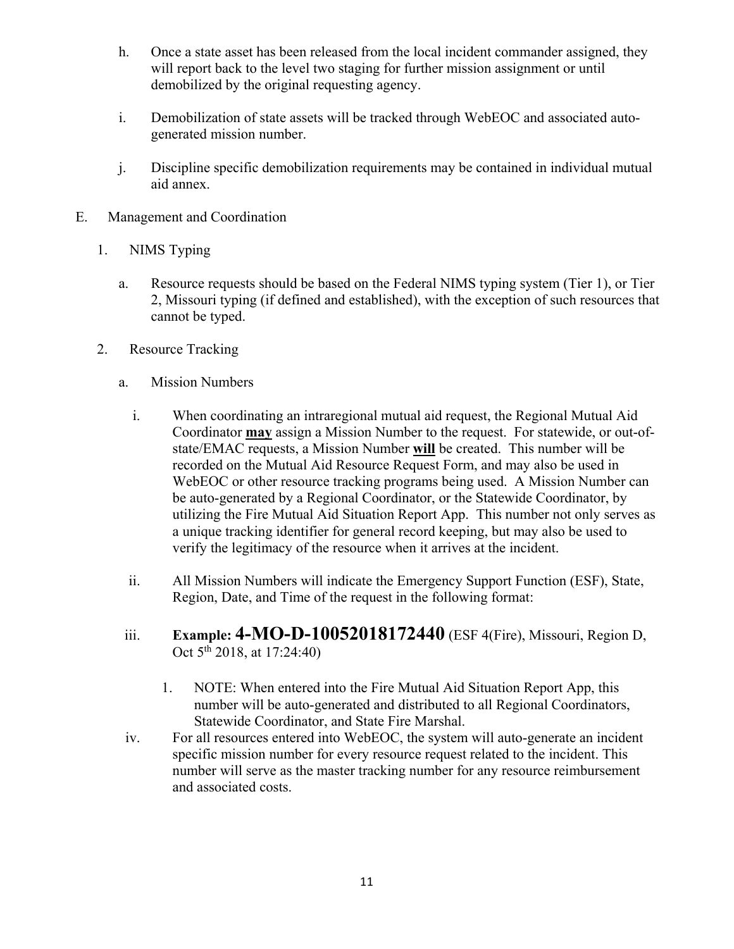- h. Once a state asset has been released from the local incident commander assigned, they will report back to the level two staging for further mission assignment or until demobilized by the original requesting agency.
- i. Demobilization of state assets will be tracked through WebEOC and associated autogenerated mission number.
- j. Discipline specific demobilization requirements may be contained in individual mutual aid annex.
- E. Management and Coordination
	- 1. NIMS Typing
		- a. Resource requests should be based on the Federal NIMS typing system (Tier 1), or Tier 2, Missouri typing (if defined and established), with the exception of such resources that cannot be typed.
	- 2. Resource Tracking
		- a. Mission Numbers
			- i. When coordinating an intraregional mutual aid request, the Regional Mutual Aid Coordinator **may** assign a Mission Number to the request. For statewide, or out-ofstate/EMAC requests, a Mission Number **will** be created. This number will be recorded on the Mutual Aid Resource Request Form, and may also be used in WebEOC or other resource tracking programs being used. A Mission Number can be auto-generated by a Regional Coordinator, or the Statewide Coordinator, by utilizing the Fire Mutual Aid Situation Report App. This number not only serves as a unique tracking identifier for general record keeping, but may also be used to verify the legitimacy of the resource when it arrives at the incident.
			- ii. All Mission Numbers will indicate the Emergency Support Function (ESF), State, Region, Date, and Time of the request in the following format:
		- iii. **Example: 4-MO-D-10052018172440** (ESF 4(Fire), Missouri, Region D, Oct 5<sup>th</sup> 2018, at 17:24:40)
			- 1. NOTE: When entered into the Fire Mutual Aid Situation Report App, this number will be auto-generated and distributed to all Regional Coordinators, Statewide Coordinator, and State Fire Marshal.
		- iv. For all resources entered into WebEOC, the system will auto-generate an incident specific mission number for every resource request related to the incident. This number will serve as the master tracking number for any resource reimbursement and associated costs.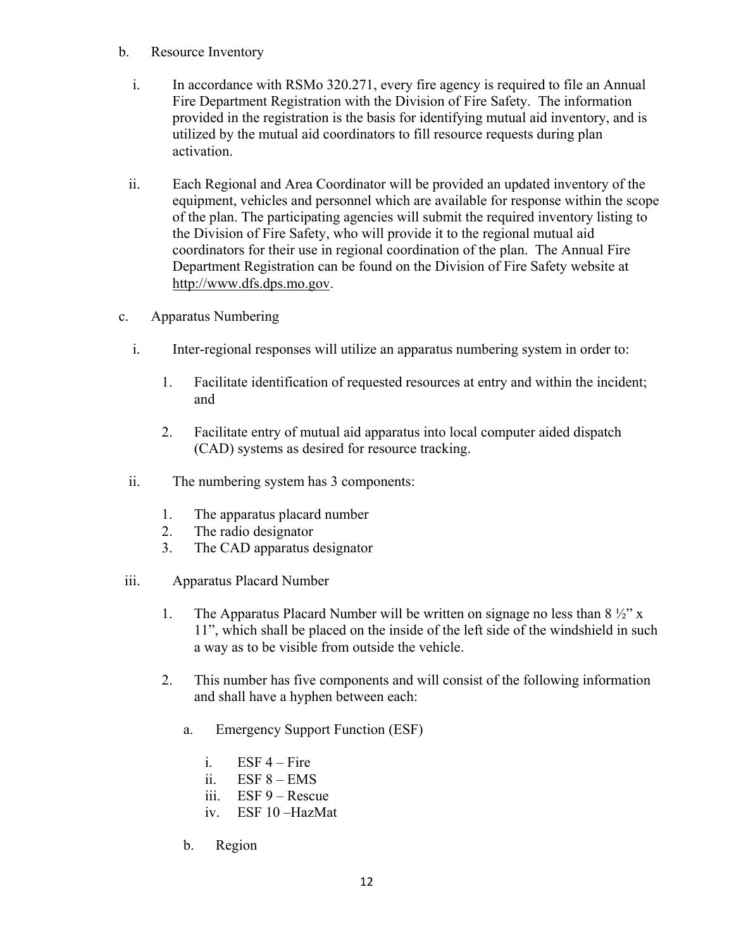- b. Resource Inventory
	- i. In accordance with RSMo 320.271, every fire agency is required to file an Annual Fire Department Registration with the Division of Fire Safety. The information provided in the registration is the basis for identifying mutual aid inventory, and is utilized by the mutual aid coordinators to fill resource requests during plan activation.
	- ii. Each Regional and Area Coordinator will be provided an updated inventory of the equipment, vehicles and personnel which are available for response within the scope of the plan. The participating agencies will submit the required inventory listing to the Division of Fire Safety, who will provide it to the regional mutual aid coordinators for their use in regional coordination of the plan. The Annual Fire Department Registration can be found on the Division of Fire Safety website at http://www.dfs.dps.mo.gov.
- c. Apparatus Numbering
	- i. Inter-regional responses will utilize an apparatus numbering system in order to:
		- 1. Facilitate identification of requested resources at entry and within the incident; and
		- 2. Facilitate entry of mutual aid apparatus into local computer aided dispatch (CAD) systems as desired for resource tracking.
	- ii. The numbering system has 3 components:
		- 1. The apparatus placard number
		- 2. The radio designator
		- 3. The CAD apparatus designator
- iii. Apparatus Placard Number
	- 1. The Apparatus Placard Number will be written on signage no less than  $8\frac{1}{2}$ " x 11", which shall be placed on the inside of the left side of the windshield in such a way as to be visible from outside the vehicle.
	- 2. This number has five components and will consist of the following information and shall have a hyphen between each:
		- a. Emergency Support Function (ESF)
			- i. ESF  $4$  Fire
			- ii.  $ESF 8 EMS$
			- iii. ESF 9 Rescue
			- iv. ESF 10 –HazMat
		- b. Region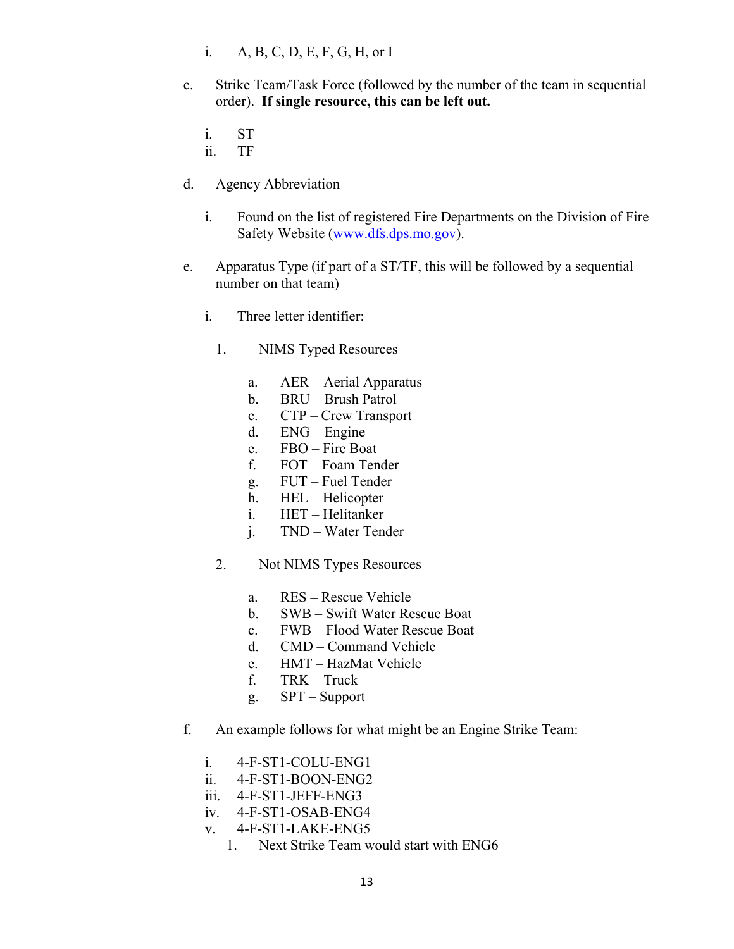- i. A, B, C, D, E, F, G, H, or I
- c. Strike Team/Task Force (followed by the number of the team in sequential order). **If single resource, this can be left out.**
	- i. ST
	- ii. TF
- d. Agency Abbreviation
	- i. Found on the list of registered Fire Departments on the Division of Fire Safety Website (www.dfs.dps.mo.gov).
- e. Apparatus Type (if part of a ST/TF, this will be followed by a sequential number on that team)
	- i. Three letter identifier:
		- 1. NIMS Typed Resources
			- a. AER Aerial Apparatus
			- b. BRU Brush Patrol
			- c. CTP Crew Transport
			- d. ENG Engine
			- e. FBO Fire Boat
			- f. FOT Foam Tender
			- g. FUT Fuel Tender
			- h. HEL Helicopter
			- i. HET Helitanker
			- j. TND Water Tender
		- 2. Not NIMS Types Resources
			- a. RES Rescue Vehicle
			- b. SWB Swift Water Rescue Boat
			- c. FWB Flood Water Rescue Boat
			- d. CMD Command Vehicle
			- e. HMT HazMat Vehicle
			- f. TRK Truck
			- g. SPT Support
- f. An example follows for what might be an Engine Strike Team:
	- i. 4-F-ST1-COLU-ENG1
	- ii. 4-F-ST1-BOON-ENG2
	- iii. 4-F-ST1-JEFF-ENG3
	- iv. 4-F-ST1-OSAB-ENG4
	- v. 4-F-ST1-LAKE-ENG5
		- 1. Next Strike Team would start with ENG6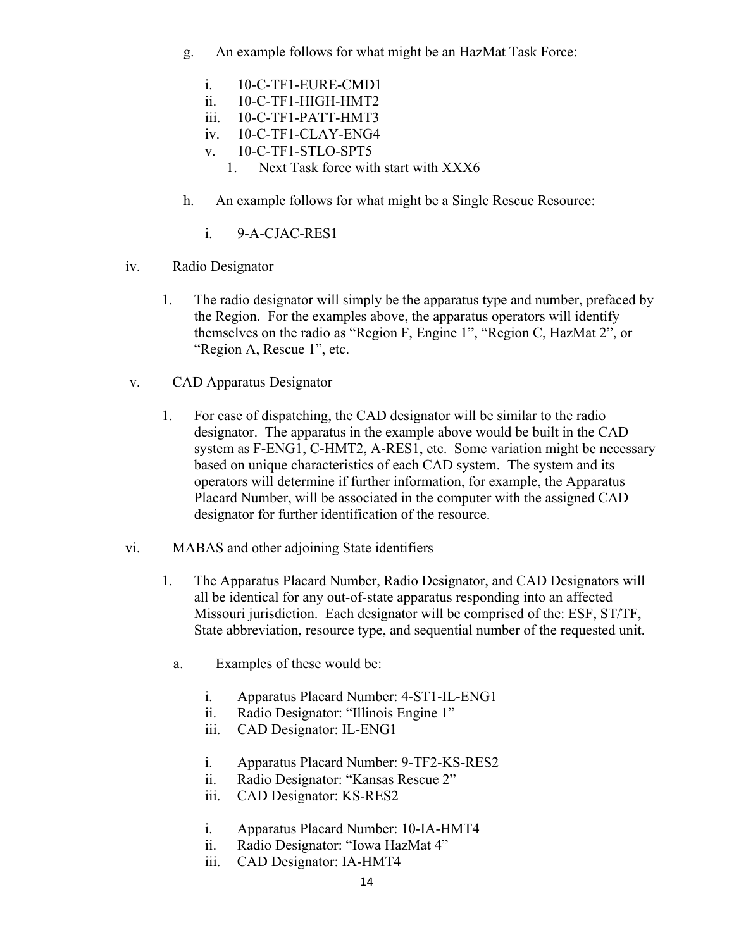- g. An example follows for what might be an HazMat Task Force:
	- i. 10-C-TF1-EURE-CMD1
	- ii. 10-C-TF1-HIGH-HMT2
	- iii. 10-C-TF1-PATT-HMT3
	- iv. 10-C-TF1-CLAY-ENG4
	- v. 10-C-TF1-STLO-SPT5
		- 1. Next Task force with start with XXX6
- h. An example follows for what might be a Single Rescue Resource:
	- i. 9-A-CJAC-RES1
- iv. Radio Designator
	- 1. The radio designator will simply be the apparatus type and number, prefaced by the Region. For the examples above, the apparatus operators will identify themselves on the radio as "Region F, Engine 1", "Region C, HazMat 2", or "Region A, Rescue 1", etc.
- v. CAD Apparatus Designator
	- 1. For ease of dispatching, the CAD designator will be similar to the radio designator. The apparatus in the example above would be built in the CAD system as F-ENG1, C-HMT2, A-RES1, etc. Some variation might be necessary based on unique characteristics of each CAD system. The system and its operators will determine if further information, for example, the Apparatus Placard Number, will be associated in the computer with the assigned CAD designator for further identification of the resource.
- vi. MABAS and other adjoining State identifiers
	- 1. The Apparatus Placard Number, Radio Designator, and CAD Designators will all be identical for any out-of-state apparatus responding into an affected Missouri jurisdiction. Each designator will be comprised of the: ESF, ST/TF, State abbreviation, resource type, and sequential number of the requested unit.
		- a. Examples of these would be:
			- i. Apparatus Placard Number: 4-ST1-IL-ENG1
			- ii. Radio Designator: "Illinois Engine 1"
			- iii. CAD Designator: IL-ENG1
			- i. Apparatus Placard Number: 9-TF2-KS-RES2
			- ii. Radio Designator: "Kansas Rescue 2"
			- iii. CAD Designator: KS-RES2
			- i. Apparatus Placard Number: 10-IA-HMT4
			- ii. Radio Designator: "Iowa HazMat 4"
			- iii. CAD Designator: IA-HMT4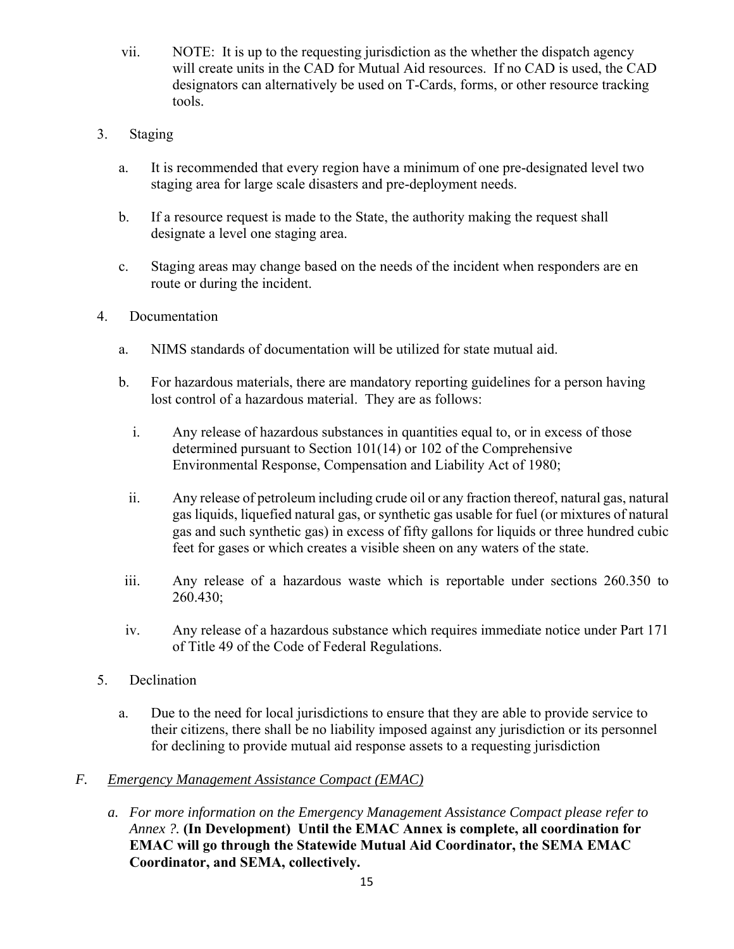- vii. NOTE: It is up to the requesting jurisdiction as the whether the dispatch agency will create units in the CAD for Mutual Aid resources. If no CAD is used, the CAD designators can alternatively be used on T-Cards, forms, or other resource tracking tools.
- 3. Staging
	- a. It is recommended that every region have a minimum of one pre-designated level two staging area for large scale disasters and pre-deployment needs.
	- b. If a resource request is made to the State, the authority making the request shall designate a level one staging area.
	- c. Staging areas may change based on the needs of the incident when responders are en route or during the incident.
- 4. Documentation
	- a. NIMS standards of documentation will be utilized for state mutual aid.
	- b. For hazardous materials, there are mandatory reporting guidelines for a person having lost control of a hazardous material. They are as follows:
		- i. Any release of hazardous substances in quantities equal to, or in excess of those determined pursuant to Section 101(14) or 102 of the Comprehensive Environmental Response, Compensation and Liability Act of 1980;
		- ii. Any release of petroleum including crude oil or any fraction thereof, natural gas, natural gas liquids, liquefied natural gas, or synthetic gas usable for fuel (or mixtures of natural gas and such synthetic gas) in excess of fifty gallons for liquids or three hundred cubic feet for gases or which creates a visible sheen on any waters of the state.
	- iii. Any release of a hazardous waste which is reportable under sections 260.350 to 260.430;
	- iv. Any release of a hazardous substance which requires immediate notice under Part 171 of Title 49 of the Code of Federal Regulations.
- 5. Declination
	- a. Due to the need for local jurisdictions to ensure that they are able to provide service to their citizens, there shall be no liability imposed against any jurisdiction or its personnel for declining to provide mutual aid response assets to a requesting jurisdiction

### *F. Emergency Management Assistance Compact (EMAC)*

*a. For more information on the Emergency Management Assistance Compact please refer to Annex ?.* **(In Development) Until the EMAC Annex is complete, all coordination for EMAC will go through the Statewide Mutual Aid Coordinator, the SEMA EMAC Coordinator, and SEMA, collectively.**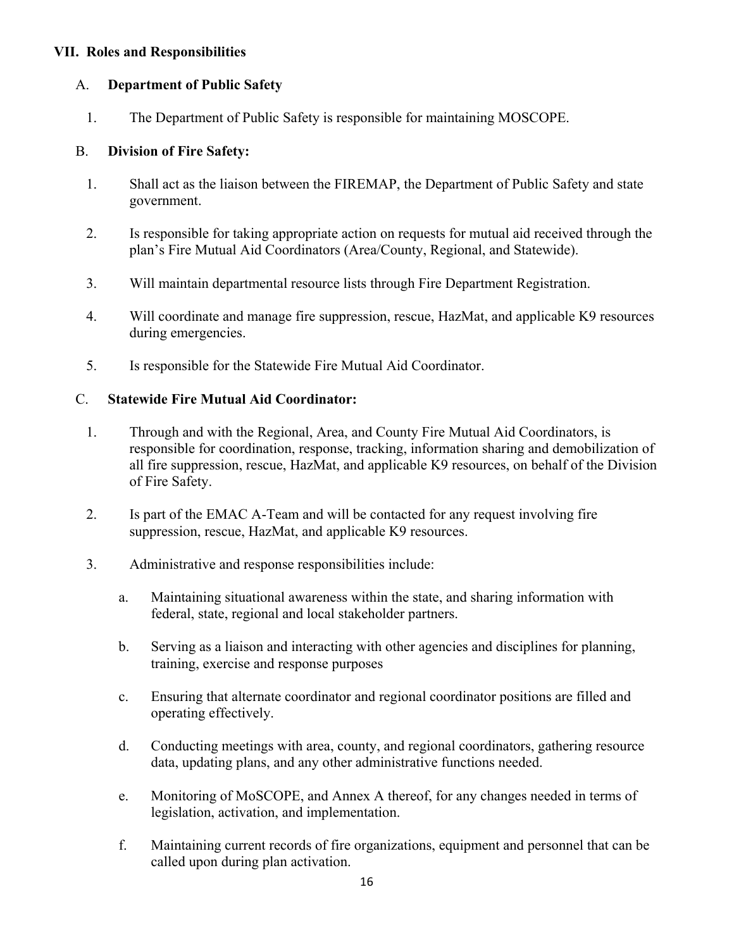### **VII. Roles and Responsibilities**

#### A. **Department of Public Safety**

1. The Department of Public Safety is responsible for maintaining MOSCOPE.

#### B. **Division of Fire Safety:**

- 1. Shall act as the liaison between the FIREMAP, the Department of Public Safety and state government.
- 2. Is responsible for taking appropriate action on requests for mutual aid received through the plan's Fire Mutual Aid Coordinators (Area/County, Regional, and Statewide).
- 3. Will maintain departmental resource lists through Fire Department Registration.
- 4. Will coordinate and manage fire suppression, rescue, HazMat, and applicable K9 resources during emergencies.
- 5. Is responsible for the Statewide Fire Mutual Aid Coordinator.

#### C. **Statewide Fire Mutual Aid Coordinator:**

- 1. Through and with the Regional, Area, and County Fire Mutual Aid Coordinators, is responsible for coordination, response, tracking, information sharing and demobilization of all fire suppression, rescue, HazMat, and applicable K9 resources, on behalf of the Division of Fire Safety.
- 2. Is part of the EMAC A-Team and will be contacted for any request involving fire suppression, rescue, HazMat, and applicable K9 resources.
- 3. Administrative and response responsibilities include:
	- a. Maintaining situational awareness within the state, and sharing information with federal, state, regional and local stakeholder partners.
	- b. Serving as a liaison and interacting with other agencies and disciplines for planning, training, exercise and response purposes
	- c. Ensuring that alternate coordinator and regional coordinator positions are filled and operating effectively.
	- d. Conducting meetings with area, county, and regional coordinators, gathering resource data, updating plans, and any other administrative functions needed.
	- e. Monitoring of MoSCOPE, and Annex A thereof, for any changes needed in terms of legislation, activation, and implementation.
	- f. Maintaining current records of fire organizations, equipment and personnel that can be called upon during plan activation.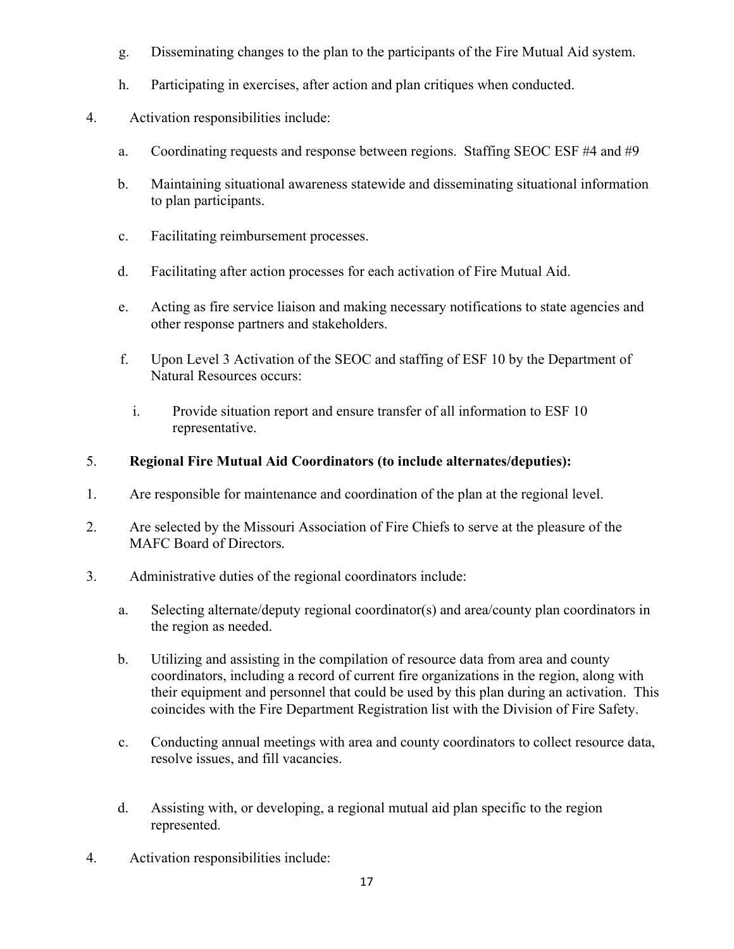- g. Disseminating changes to the plan to the participants of the Fire Mutual Aid system.
- h. Participating in exercises, after action and plan critiques when conducted.
- 4. Activation responsibilities include:
	- a. Coordinating requests and response between regions. Staffing SEOC ESF #4 and #9
	- b. Maintaining situational awareness statewide and disseminating situational information to plan participants.
	- c. Facilitating reimbursement processes.
	- d. Facilitating after action processes for each activation of Fire Mutual Aid.
	- e. Acting as fire service liaison and making necessary notifications to state agencies and other response partners and stakeholders.
	- f. Upon Level 3 Activation of the SEOC and staffing of ESF 10 by the Department of Natural Resources occurs:
		- i. Provide situation report and ensure transfer of all information to ESF 10 representative.

### 5. **Regional Fire Mutual Aid Coordinators (to include alternates/deputies):**

- 1. Are responsible for maintenance and coordination of the plan at the regional level.
- 2. Are selected by the Missouri Association of Fire Chiefs to serve at the pleasure of the MAFC Board of Directors*.*
- 3. Administrative duties of the regional coordinators include:
	- a. Selecting alternate/deputy regional coordinator(s) and area/county plan coordinators in the region as needed.
	- b. Utilizing and assisting in the compilation of resource data from area and county coordinators, including a record of current fire organizations in the region, along with their equipment and personnel that could be used by this plan during an activation. This coincides with the Fire Department Registration list with the Division of Fire Safety.
	- c. Conducting annual meetings with area and county coordinators to collect resource data, resolve issues, and fill vacancies.
	- d. Assisting with, or developing, a regional mutual aid plan specific to the region represented.
- 4. Activation responsibilities include: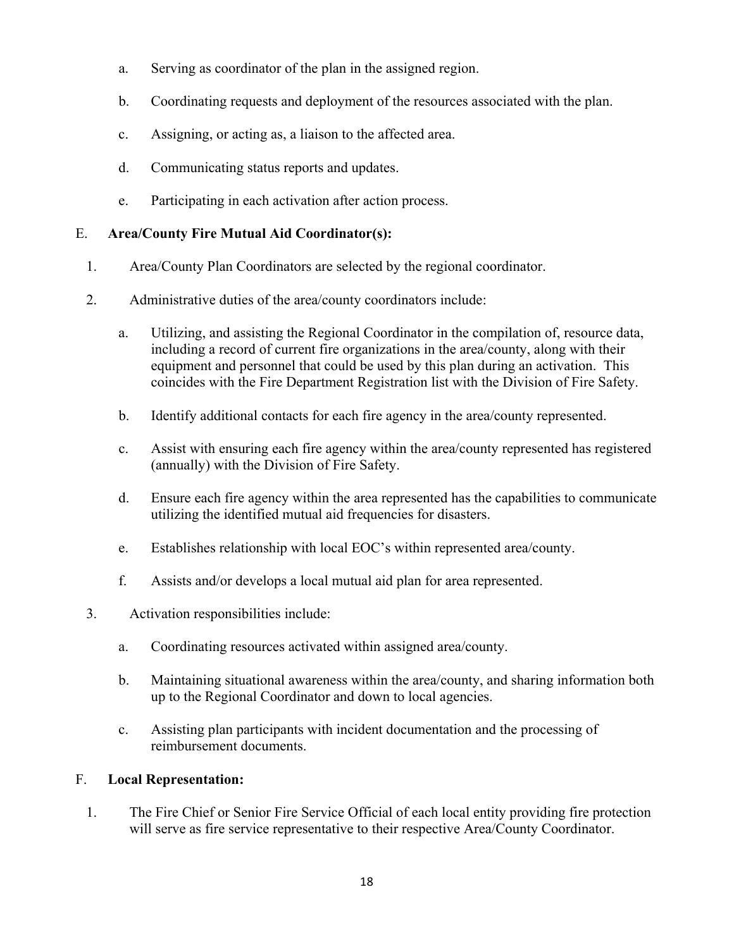- a. Serving as coordinator of the plan in the assigned region.
- b. Coordinating requests and deployment of the resources associated with the plan.
- c. Assigning, or acting as, a liaison to the affected area.
- d. Communicating status reports and updates.
- e. Participating in each activation after action process.

### E. **Area/County Fire Mutual Aid Coordinator(s):**

- 1. Area/County Plan Coordinators are selected by the regional coordinator.
- 2. Administrative duties of the area/county coordinators include:
	- a. Utilizing, and assisting the Regional Coordinator in the compilation of, resource data, including a record of current fire organizations in the area/county, along with their equipment and personnel that could be used by this plan during an activation. This coincides with the Fire Department Registration list with the Division of Fire Safety.
	- b. Identify additional contacts for each fire agency in the area/county represented.
	- c. Assist with ensuring each fire agency within the area/county represented has registered (annually) with the Division of Fire Safety.
	- d. Ensure each fire agency within the area represented has the capabilities to communicate utilizing the identified mutual aid frequencies for disasters.
	- e. Establishes relationship with local EOC's within represented area/county.
	- f. Assists and/or develops a local mutual aid plan for area represented.
- 3. Activation responsibilities include:
	- a. Coordinating resources activated within assigned area/county.
	- b. Maintaining situational awareness within the area/county, and sharing information both up to the Regional Coordinator and down to local agencies.
	- c. Assisting plan participants with incident documentation and the processing of reimbursement documents.

### F. **Local Representation:**

1. The Fire Chief or Senior Fire Service Official of each local entity providing fire protection will serve as fire service representative to their respective Area/County Coordinator.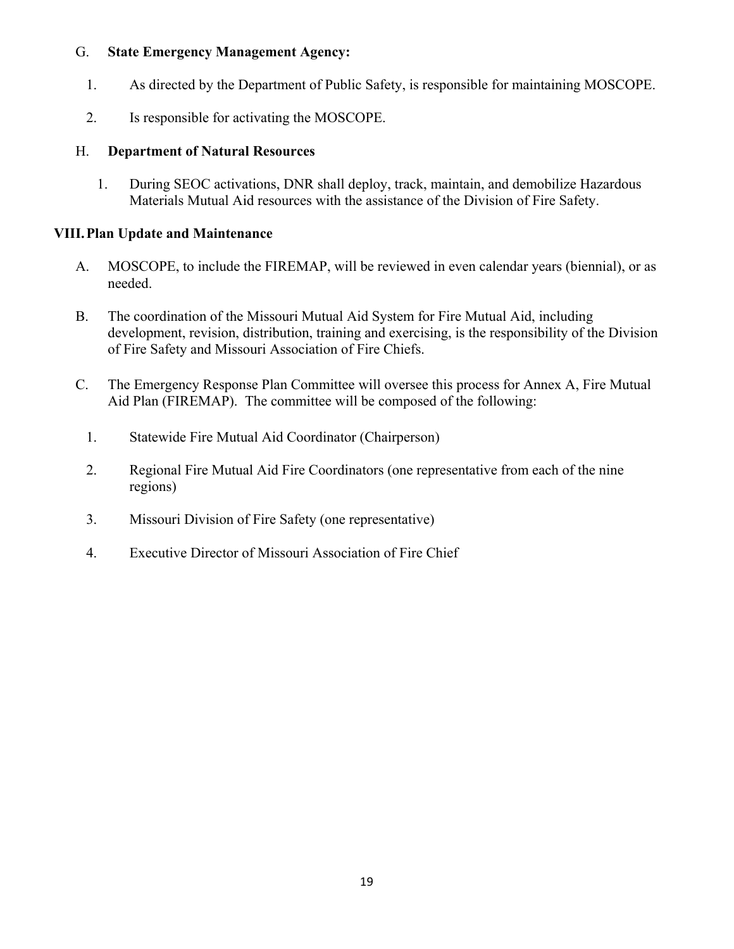### G. **State Emergency Management Agency:**

- 1. As directed by the Department of Public Safety, is responsible for maintaining MOSCOPE.
- 2. Is responsible for activating the MOSCOPE.

### H. **Department of Natural Resources**

1. During SEOC activations, DNR shall deploy, track, maintain, and demobilize Hazardous Materials Mutual Aid resources with the assistance of the Division of Fire Safety.

### **VIII.Plan Update and Maintenance**

- A. MOSCOPE, to include the FIREMAP, will be reviewed in even calendar years (biennial), or as needed.
- B. The coordination of the Missouri Mutual Aid System for Fire Mutual Aid, including development, revision, distribution, training and exercising, is the responsibility of the Division of Fire Safety and Missouri Association of Fire Chiefs.
- C. The Emergency Response Plan Committee will oversee this process for Annex A, Fire Mutual Aid Plan (FIREMAP). The committee will be composed of the following:
	- 1. Statewide Fire Mutual Aid Coordinator (Chairperson)
	- 2. Regional Fire Mutual Aid Fire Coordinators (one representative from each of the nine regions)
	- 3. Missouri Division of Fire Safety (one representative)
	- 4. Executive Director of Missouri Association of Fire Chief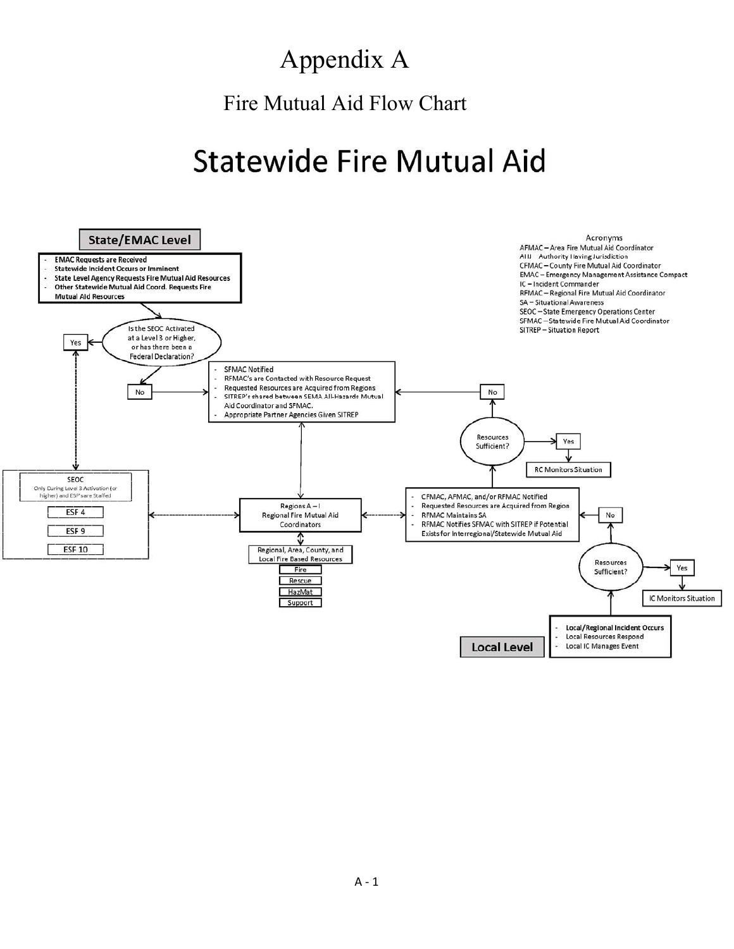# Appendix A

Fire Mutual Aid Flow Chart

# **Statewide Fire Mutual Aid**

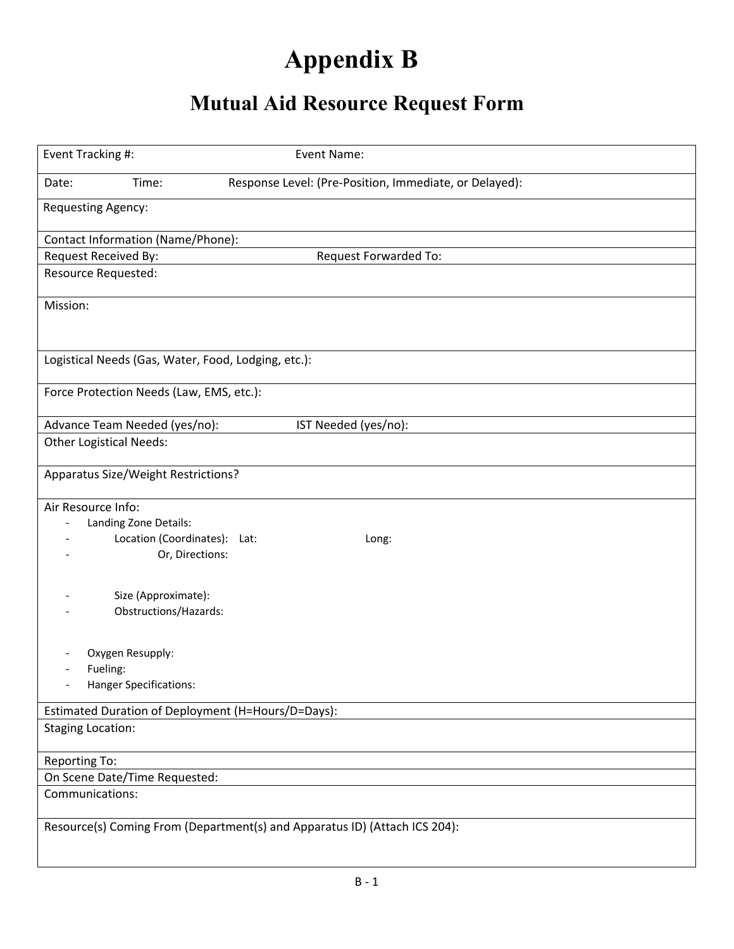# **Appendix B**

# **Mutual Aid Resource Request Form**

| Event Tracking #:                                                                                                | Event Name:                                                                |
|------------------------------------------------------------------------------------------------------------------|----------------------------------------------------------------------------|
|                                                                                                                  |                                                                            |
| Time:<br>Date:                                                                                                   | Response Level: (Pre-Position, Immediate, or Delayed):                     |
| Requesting Agency:                                                                                               |                                                                            |
| Contact Information (Name/Phone):                                                                                |                                                                            |
| Request Received By:                                                                                             | Request Forwarded To:                                                      |
| <b>Resource Requested:</b>                                                                                       |                                                                            |
| Mission:                                                                                                         |                                                                            |
| Logistical Needs (Gas, Water, Food, Lodging, etc.):                                                              |                                                                            |
| Force Protection Needs (Law, EMS, etc.):                                                                         |                                                                            |
| Advance Team Needed (yes/no):                                                                                    | IST Needed (yes/no):                                                       |
| <b>Other Logistical Needs:</b>                                                                                   |                                                                            |
| Apparatus Size/Weight Restrictions?                                                                              |                                                                            |
| Air Resource Info:<br>Landing Zone Details:<br>$\overline{a}$<br>Location (Coordinates): Lat:<br>Or, Directions: | Long:                                                                      |
| Size (Approximate):<br>Obstructions/Hazards:                                                                     |                                                                            |
| Oxygen Resupply:<br>Fueling:<br><b>Hanger Specifications:</b><br>$\overline{\phantom{0}}$                        |                                                                            |
| Estimated Duration of Deployment (H=Hours/D=Days):                                                               |                                                                            |
| <b>Staging Location:</b>                                                                                         |                                                                            |
| Reporting To:                                                                                                    |                                                                            |
| On Scene Date/Time Requested:                                                                                    |                                                                            |
| Communications:                                                                                                  |                                                                            |
|                                                                                                                  | Resource(s) Coming From (Department(s) and Apparatus ID) (Attach ICS 204): |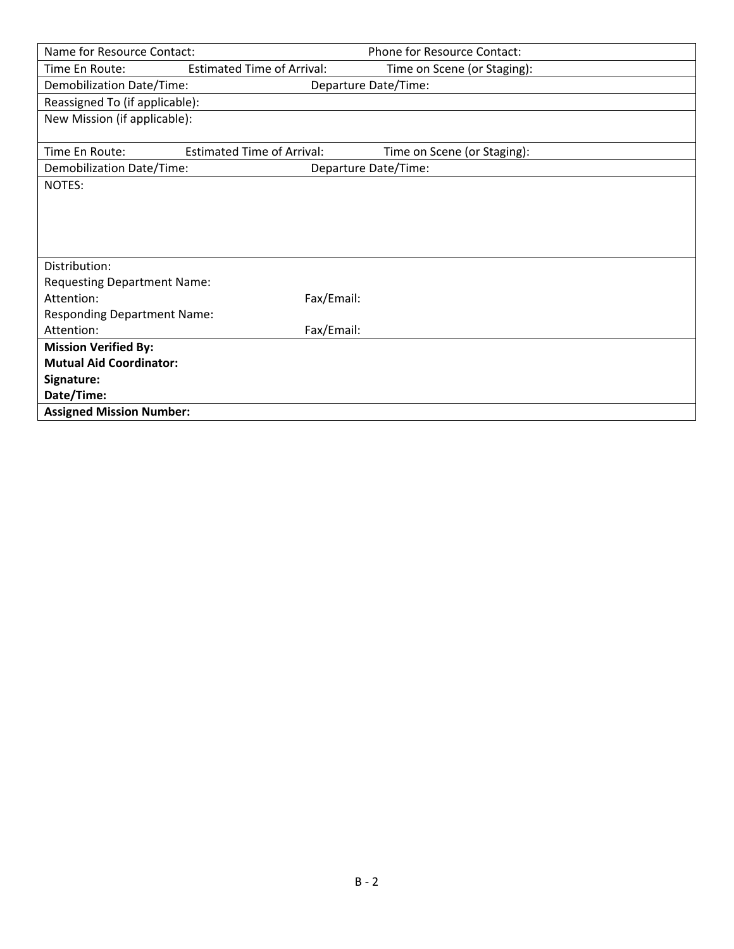| Name for Resource Contact:         |                                   | Phone for Resource Contact: |  |
|------------------------------------|-----------------------------------|-----------------------------|--|
| Time En Route:                     | <b>Estimated Time of Arrival:</b> | Time on Scene (or Staging): |  |
| Demobilization Date/Time:          |                                   | Departure Date/Time:        |  |
| Reassigned To (if applicable):     |                                   |                             |  |
| New Mission (if applicable):       |                                   |                             |  |
|                                    |                                   |                             |  |
| Time En Route:                     | <b>Estimated Time of Arrival:</b> | Time on Scene (or Staging): |  |
| Demobilization Date/Time:          |                                   | Departure Date/Time:        |  |
| NOTES:                             |                                   |                             |  |
|                                    |                                   |                             |  |
|                                    |                                   |                             |  |
|                                    |                                   |                             |  |
|                                    |                                   |                             |  |
| Distribution:                      |                                   |                             |  |
| <b>Requesting Department Name:</b> |                                   |                             |  |
| Attention:                         | Fax/Email:                        |                             |  |
| <b>Responding Department Name:</b> |                                   |                             |  |
| Attention:                         | Fax/Email:                        |                             |  |
| <b>Mission Verified By:</b>        |                                   |                             |  |
| <b>Mutual Aid Coordinator:</b>     |                                   |                             |  |
| Signature:                         |                                   |                             |  |
| Date/Time:                         |                                   |                             |  |
| <b>Assigned Mission Number:</b>    |                                   |                             |  |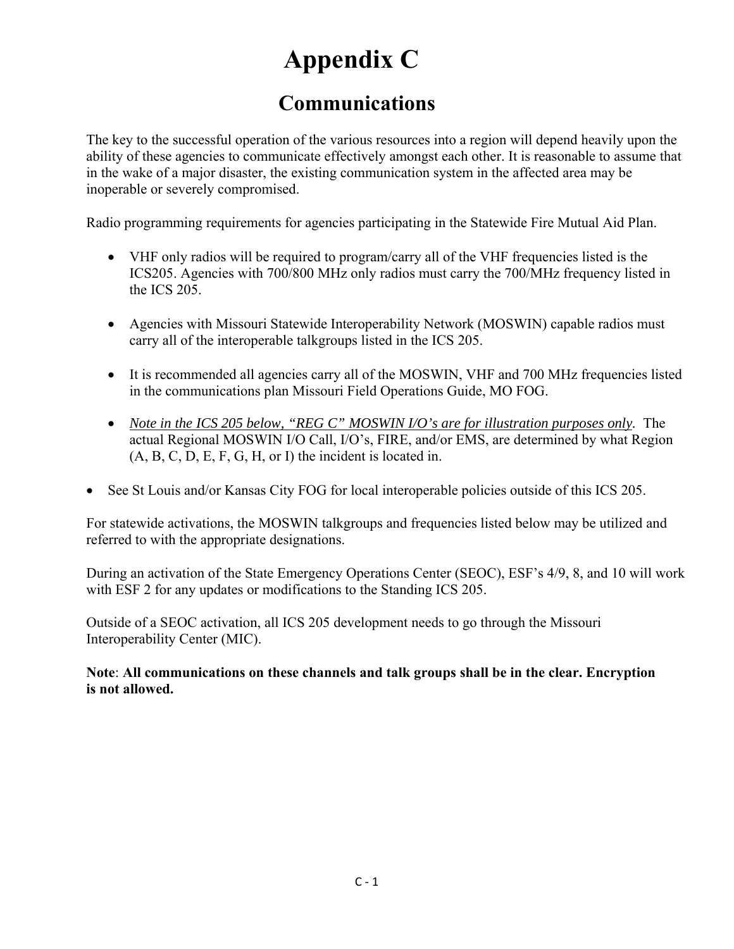# **Appendix C**

### **Communications**

The key to the successful operation of the various resources into a region will depend heavily upon the ability of these agencies to communicate effectively amongst each other. It is reasonable to assume that in the wake of a major disaster, the existing communication system in the affected area may be inoperable or severely compromised.

Radio programming requirements for agencies participating in the Statewide Fire Mutual Aid Plan.

- VHF only radios will be required to program/carry all of the VHF frequencies listed is the ICS205. Agencies with 700/800 MHz only radios must carry the 700/MHz frequency listed in the ICS 205.
- Agencies with Missouri Statewide Interoperability Network (MOSWIN) capable radios must carry all of the interoperable talkgroups listed in the ICS 205.
- It is recommended all agencies carry all of the MOSWIN, VHF and 700 MHz frequencies listed in the communications plan Missouri Field Operations Guide, MO FOG.
- *Note in the ICS 205 below, "REG C" MOSWIN I/O's are for illustration purposes only.* The actual Regional MOSWIN I/O Call, I/O's, FIRE, and/or EMS, are determined by what Region (A, B, C, D, E, F, G, H, or I) the incident is located in.
- See St Louis and/or Kansas City FOG for local interoperable policies outside of this ICS 205.

For statewide activations, the MOSWIN talkgroups and frequencies listed below may be utilized and referred to with the appropriate designations.

During an activation of the State Emergency Operations Center (SEOC), ESF's 4/9, 8, and 10 will work with ESF 2 for any updates or modifications to the Standing ICS 205.

Outside of a SEOC activation, all ICS 205 development needs to go through the Missouri Interoperability Center (MIC).

**Note**: **All communications on these channels and talk groups shall be in the clear. Encryption is not allowed.**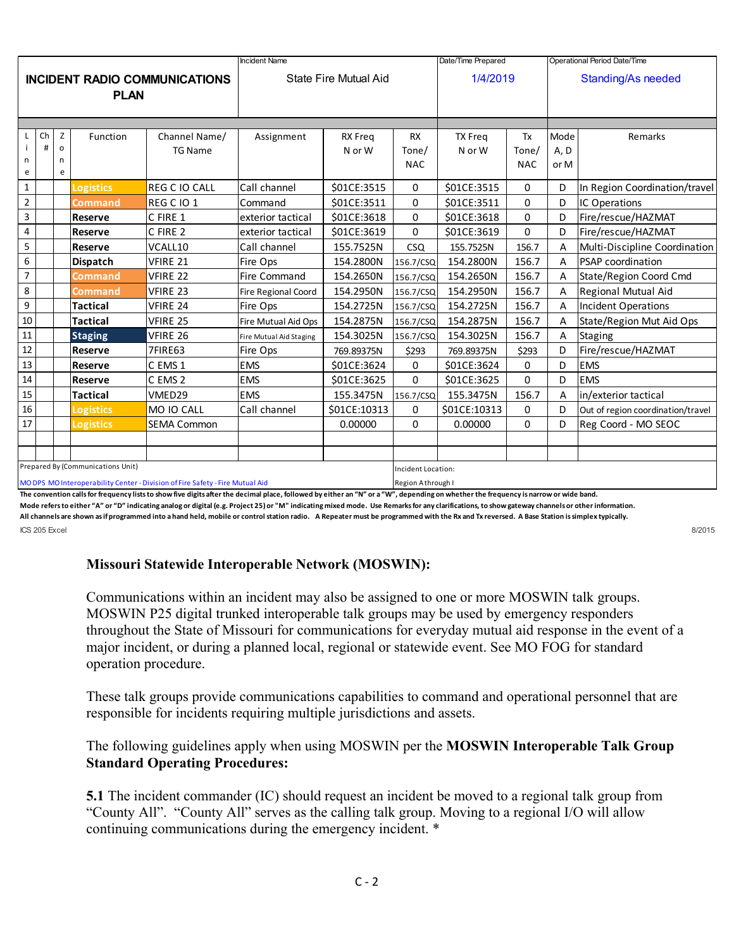|                                                                               |                                   |              |                       |                    | <b>Incident Name</b>    |                    |            | Date/Time Prepared        |            | Operational Period Date/Time |                                   |
|-------------------------------------------------------------------------------|-----------------------------------|--------------|-----------------------|--------------------|-------------------------|--------------------|------------|---------------------------|------------|------------------------------|-----------------------------------|
| <b>INCIDENT RADIO COMMUNICATIONS</b><br><b>PLAN</b>                           |                                   |              | State Fire Mutual Aid |                    |                         | 1/4/2019           |            | <b>Standing/As needed</b> |            |                              |                                   |
|                                                                               |                                   |              |                       |                    |                         |                    |            |                           |            |                              |                                   |
|                                                                               | Ch                                | Z            | Function              | Channel Name/      | Assignment              | <b>RX</b> Freq     | <b>RX</b>  | <b>TX Freq</b>            | Tx         | Mode                         | Remarks                           |
| n                                                                             | #                                 | $\circ$<br>n |                       | <b>TG Name</b>     |                         | N or W             | Tone/      | N or W                    | Tone/      | A, D                         |                                   |
| e                                                                             |                                   | e            |                       |                    |                         |                    | <b>NAC</b> |                           | <b>NAC</b> | or M                         |                                   |
| $\mathbf 1$                                                                   |                                   |              | <b>Logistics</b>      | REG C IO CALL      | Call channel            | \$01CE:3515        | 0          | \$01CE:3515               | 0          | D                            | In Region Coordination/travel     |
| $\overline{2}$                                                                |                                   |              | Command               | REG C IO 1         | Command                 | \$01CE:3511        | $\Omega$   | \$01CE:3511               | $\Omega$   | D                            | IC Operations                     |
| $\overline{3}$                                                                |                                   |              | <b>Reserve</b>        | C FIRE 1           | exterior tactical       | \$01CE:3618        | 0          | \$01CE:3618               | 0          | D                            | Fire/rescue/HAZMAT                |
| 4                                                                             |                                   |              | <b>Reserve</b>        | C FIRE 2           | exterior tactical       | \$01CE:3619        | $\Omega$   | \$01CE:3619               | $\Omega$   | D                            | Fire/rescue/HAZMAT                |
| 5                                                                             |                                   |              | Reserve               | VCALL10            | Call channel            | 155.7525N          | <b>CSQ</b> | 155.7525N                 | 156.7      | Α                            | Multi-Discipline Coordination     |
| 6                                                                             |                                   |              | <b>Dispatch</b>       | VFIRE 21           | Fire Ops                | 154.2800N          | 156.7/CSQ  | 154.2800N                 | 156.7      | A                            | PSAP coordination                 |
| $\overline{7}$                                                                |                                   |              | Command               | VFIRE 22           | Fire Command            | 154.2650N          | 156.7/CSQ  | 154.2650N                 | 156.7      | A                            | State/Region Coord Cmd            |
| 8                                                                             |                                   |              | Command               | <b>VFIRE 23</b>    | Fire Regional Coord     | 154.2950N          | 156.7/CSQ  | 154.2950N                 | 156.7      | A                            | Regional Mutual Aid               |
| $\boldsymbol{9}$                                                              |                                   |              | <b>Tactical</b>       | VFIRE 24           | Fire Ops                | 154.2725N          | 156.7/CSQ  | 154.2725N                 | 156.7      | $\overline{A}$               | Incident Operations               |
| $10\,$                                                                        |                                   |              | <b>Tactical</b>       | <b>VFIRE 25</b>    | Fire Mutual Aid Ops     | 154.2875N          | 156.7/CSQ  | 154.2875N                 | 156.7      | A                            | State/Region Mut Aid Ops          |
| $11\,$                                                                        |                                   |              | <b>Staging</b>        | VFIRE 26           | Fire Mutual Aid Staging | 154.3025N          | 156.7/CSQ  | 154.3025N                 | 156.7      | A                            | <b>Staging</b>                    |
| $12\,$                                                                        |                                   |              | <b>Reserve</b>        | 7FIRE63            | Fire Ops                | 769.89375N         | \$293      | 769.89375N                | \$293      | D                            | Fire/rescue/HAZMAT                |
| 13                                                                            |                                   |              | <b>Reserve</b>        | C EMS 1            | <b>EMS</b>              | \$01CE:3624        | 0          | \$01CE:3624               | 0          | D                            | <b>EMS</b>                        |
| $14\,$                                                                        |                                   |              | <b>Reserve</b>        | C EMS 2            | <b>EMS</b>              | \$01CE:3625        | 0          | \$01CE:3625               | $\Omega$   | D                            | <b>EMS</b>                        |
| $15\,$                                                                        |                                   |              | <b>Tactical</b>       | VMED29             | <b>EMS</b>              | 155.3475N          | 156.7/CSQ  | 155.3475N                 | 156.7      | Α                            | in/exterior tactical              |
| $16\,$                                                                        |                                   |              | <b>Logistics</b>      | MO IO CALL         | Call channel            | \$01CE:10313       | 0          | \$01CE:10313              | 0          | D                            | Out of region coordination/travel |
| 17                                                                            |                                   |              | <b>Logistics</b>      | <b>SEMA Common</b> |                         | 0.00000            | $\Omega$   | 0.00000                   | $\Omega$   | D                            | Reg Coord - MO SEOC               |
|                                                                               |                                   |              |                       |                    |                         |                    |            |                           |            |                              |                                   |
|                                                                               |                                   |              |                       |                    |                         |                    |            |                           |            |                              |                                   |
|                                                                               | Prepared By (Communications Unit) |              |                       |                    |                         | Incident Location: |            |                           |            |                              |                                   |
| MO DPS MO Interoperability Center - Division of Fire Safety - Fire Mutual Aid |                                   |              |                       |                    | Region Athrough I       |                    |            |                           |            |                              |                                   |

**The convention calls for frequency lists to show five digits after the decimal place, followed by either an "N" or a "W", depending on whether the frequency is narrow or wide band.**

Mode refers to either "A" or "D" indicating analog or digital (e.g. Project 25) or "M" indicating mixed mode. Use Remarks for any clarifications, to show gateway channels or other information.

**All channels are shown as if programmed into a hand held, mobile or control station radio. A Repeater must be programmed with the Rx and Tx reversed. A Base Station is simplex typically.** ICS 205 Excel 8/2015

### **Missouri Statewide Interoperable Network (MOSWIN):**

Communications within an incident may also be assigned to one or more MOSWIN talk groups. MOSWIN P25 digital trunked interoperable talk groups may be used by emergency responders throughout the State of Missouri for communications for everyday mutual aid response in the event of a major incident, or during a planned local, regional or statewide event. See MO FOG for standard operation procedure.

These talk groups provide communications capabilities to command and operational personnel that are responsible for incidents requiring multiple jurisdictions and assets.

### The following guidelines apply when using MOSWIN per the **MOSWIN Interoperable Talk Group Standard Operating Procedures:**

**5.1** The incident commander (IC) should request an incident be moved to a regional talk group from "County All". "County All" serves as the calling talk group. Moving to a regional I/O will allow continuing communications during the emergency incident. \*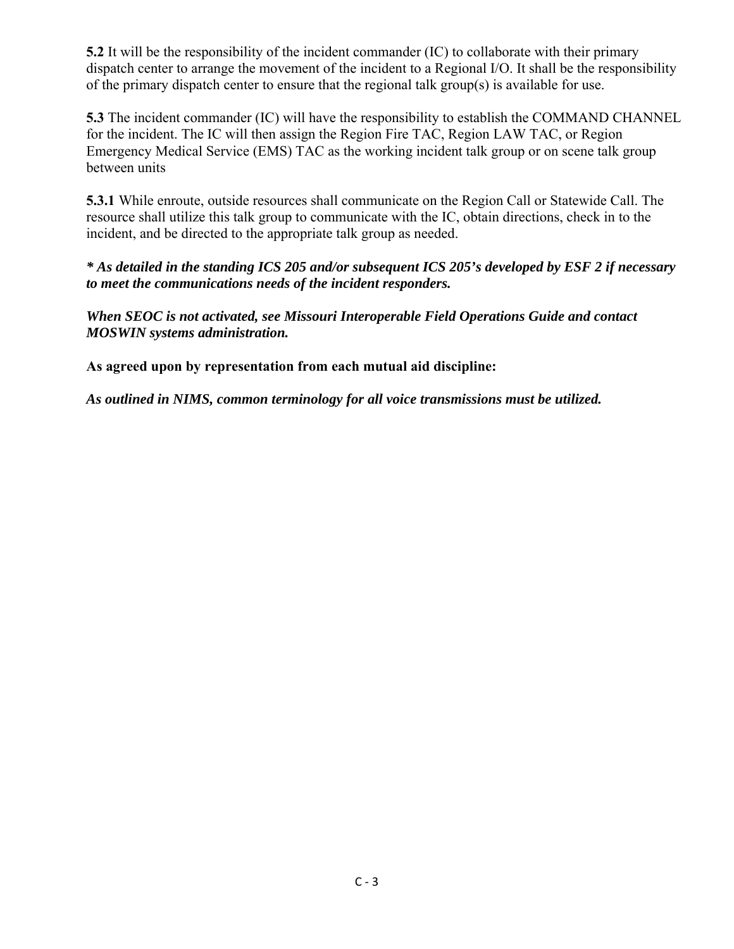**5.2** It will be the responsibility of the incident commander (IC) to collaborate with their primary dispatch center to arrange the movement of the incident to a Regional I/O. It shall be the responsibility of the primary dispatch center to ensure that the regional talk group(s) is available for use.

**5.3** The incident commander (IC) will have the responsibility to establish the COMMAND CHANNEL for the incident. The IC will then assign the Region Fire TAC, Region LAW TAC, or Region Emergency Medical Service (EMS) TAC as the working incident talk group or on scene talk group between units

**5.3.1** While enroute, outside resources shall communicate on the Region Call or Statewide Call. The resource shall utilize this talk group to communicate with the IC, obtain directions, check in to the incident, and be directed to the appropriate talk group as needed.

*\* As detailed in the standing ICS 205 and/or subsequent ICS 205's developed by ESF 2 if necessary to meet the communications needs of the incident responders.*

*When SEOC is not activated, see Missouri Interoperable Field Operations Guide and contact MOSWIN systems administration.* 

**As agreed upon by representation from each mutual aid discipline:** 

*As outlined in NIMS, common terminology for all voice transmissions must be utilized.*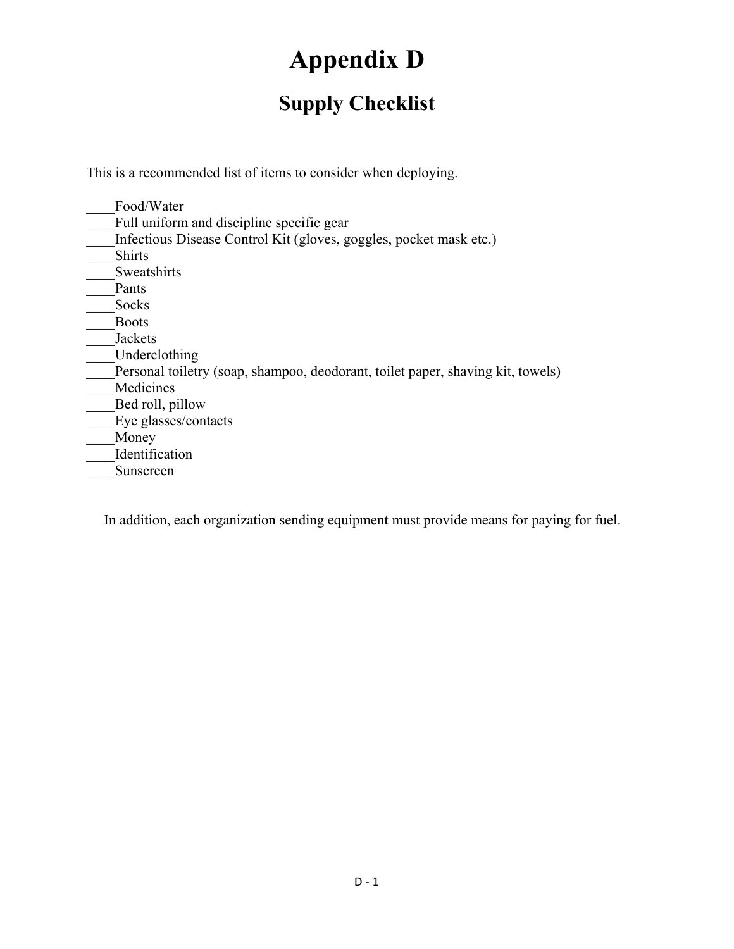# **Appendix D**

## **Supply Checklist**

This is a recommended list of items to consider when deploying.

| Food/Water                                                                      |
|---------------------------------------------------------------------------------|
| Full uniform and discipline specific gear                                       |
| Infectious Disease Control Kit (gloves, goggles, pocket mask etc.)              |
| <b>Shirts</b>                                                                   |
| Sweatshirts                                                                     |
| Pants                                                                           |
| Socks                                                                           |
| <b>Boots</b>                                                                    |
| Jackets                                                                         |
| Underclothing                                                                   |
| Personal toiletry (soap, shampoo, deodorant, toilet paper, shaving kit, towels) |
| Medicines                                                                       |
| Bed roll, pillow                                                                |
| Eye glasses/contacts                                                            |
| Money                                                                           |
| Identification                                                                  |
| Sunscreen                                                                       |

In addition, each organization sending equipment must provide means for paying for fuel.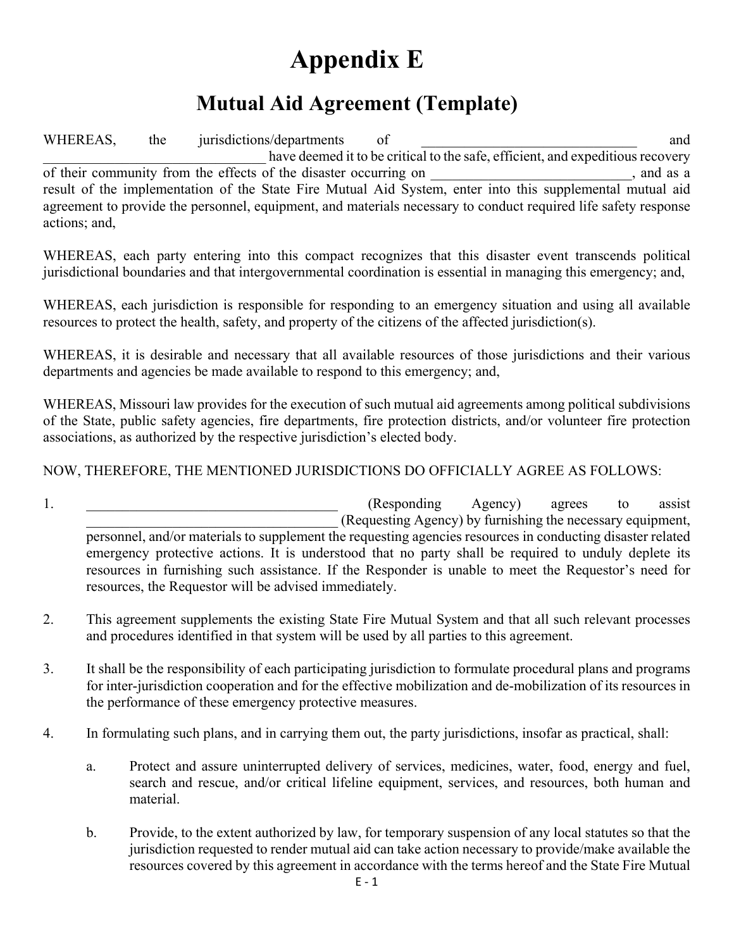# **Appendix E**

### **Mutual Aid Agreement (Template)**

WHEREAS, the jurisdictions/departments of and have deemed it to be critical to the safe, efficient, and expeditious recovery of their community from the effects of the disaster occurring on , and as a result of the implementation of the State Fire Mutual Aid System, enter into this supplemental mutual aid agreement to provide the personnel, equipment, and materials necessary to conduct required life safety response actions; and,

WHEREAS, each party entering into this compact recognizes that this disaster event transcends political jurisdictional boundaries and that intergovernmental coordination is essential in managing this emergency; and,

WHEREAS, each jurisdiction is responsible for responding to an emergency situation and using all available resources to protect the health, safety, and property of the citizens of the affected jurisdiction(s).

WHEREAS, it is desirable and necessary that all available resources of those jurisdictions and their various departments and agencies be made available to respond to this emergency; and,

WHEREAS, Missouri law provides for the execution of such mutual aid agreements among political subdivisions of the State, public safety agencies, fire departments, fire protection districts, and/or volunteer fire protection associations, as authorized by the respective jurisdiction's elected body.

### NOW, THEREFORE, THE MENTIONED JURISDICTIONS DO OFFICIALLY AGREE AS FOLLOWS:

- 1. the contract of the contract of the contract (Responding Agency) agrees to assist \_\_\_\_\_\_\_\_\_\_\_\_\_\_\_\_\_\_\_\_\_\_\_\_\_\_\_\_\_\_\_\_\_\_\_ (Requesting Agency) by furnishing the necessary equipment, personnel, and/or materials to supplement the requesting agencies resources in conducting disaster related emergency protective actions. It is understood that no party shall be required to unduly deplete its resources in furnishing such assistance. If the Responder is unable to meet the Requestor's need for resources, the Requestor will be advised immediately.
- 2. This agreement supplements the existing State Fire Mutual System and that all such relevant processes and procedures identified in that system will be used by all parties to this agreement.
- 3. It shall be the responsibility of each participating jurisdiction to formulate procedural plans and programs for inter-jurisdiction cooperation and for the effective mobilization and de-mobilization of its resources in the performance of these emergency protective measures.
- 4. In formulating such plans, and in carrying them out, the party jurisdictions, insofar as practical, shall:
	- a. Protect and assure uninterrupted delivery of services, medicines, water, food, energy and fuel, search and rescue, and/or critical lifeline equipment, services, and resources, both human and material.
	- b. Provide, to the extent authorized by law, for temporary suspension of any local statutes so that the jurisdiction requested to render mutual aid can take action necessary to provide/make available the resources covered by this agreement in accordance with the terms hereof and the State Fire Mutual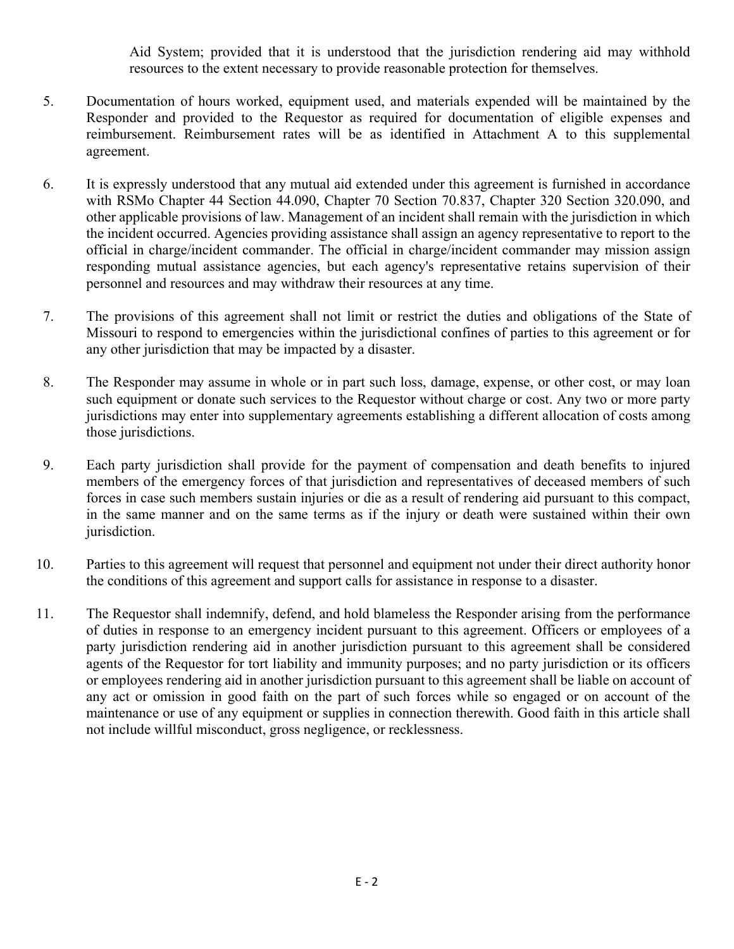Aid System; provided that it is understood that the jurisdiction rendering aid may withhold resources to the extent necessary to provide reasonable protection for themselves.

- 5. Documentation of hours worked, equipment used, and materials expended will be maintained by the Responder and provided to the Requestor as required for documentation of eligible expenses and reimbursement. Reimbursement rates will be as identified in Attachment A to this supplemental agreement.
- 6. It is expressly understood that any mutual aid extended under this agreement is furnished in accordance with RSMo Chapter 44 Section 44.090, Chapter 70 Section 70.837, Chapter 320 Section 320.090, and other applicable provisions of law. Management of an incident shall remain with the jurisdiction in which the incident occurred. Agencies providing assistance shall assign an agency representative to report to the official in charge/incident commander. The official in charge/incident commander may mission assign responding mutual assistance agencies, but each agency's representative retains supervision of their personnel and resources and may withdraw their resources at any time.
- 7. The provisions of this agreement shall not limit or restrict the duties and obligations of the State of Missouri to respond to emergencies within the jurisdictional confines of parties to this agreement or for any other jurisdiction that may be impacted by a disaster.
- 8. The Responder may assume in whole or in part such loss, damage, expense, or other cost, or may loan such equipment or donate such services to the Requestor without charge or cost. Any two or more party jurisdictions may enter into supplementary agreements establishing a different allocation of costs among those jurisdictions.
- 9. Each party jurisdiction shall provide for the payment of compensation and death benefits to injured members of the emergency forces of that jurisdiction and representatives of deceased members of such forces in case such members sustain injuries or die as a result of rendering aid pursuant to this compact, in the same manner and on the same terms as if the injury or death were sustained within their own jurisdiction.
- 10. Parties to this agreement will request that personnel and equipment not under their direct authority honor the conditions of this agreement and support calls for assistance in response to a disaster.
- 11. The Requestor shall indemnify, defend, and hold blameless the Responder arising from the performance of duties in response to an emergency incident pursuant to this agreement. Officers or employees of a party jurisdiction rendering aid in another jurisdiction pursuant to this agreement shall be considered agents of the Requestor for tort liability and immunity purposes; and no party jurisdiction or its officers or employees rendering aid in another jurisdiction pursuant to this agreement shall be liable on account of any act or omission in good faith on the part of such forces while so engaged or on account of the maintenance or use of any equipment or supplies in connection therewith. Good faith in this article shall not include willful misconduct, gross negligence, or recklessness.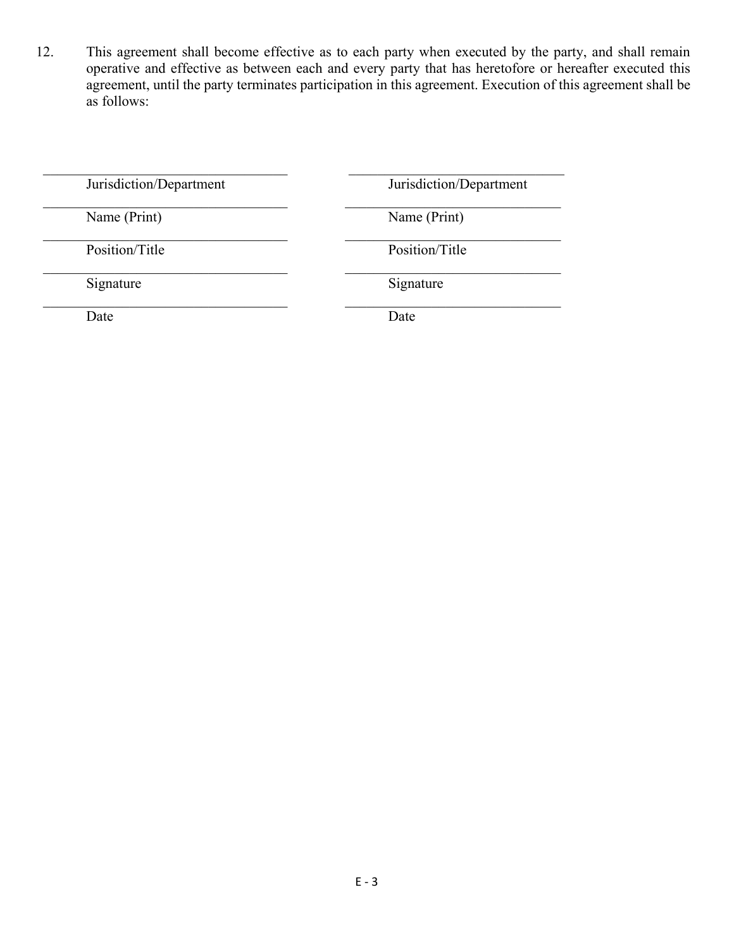12. This agreement shall become effective as to each party when executed by the party, and shall remain operative and effective as between each and every party that has heretofore or hereafter executed this agreement, until the party terminates participation in this agreement. Execution of this agreement shall be as follows:

| Jurisdiction/Department | Jurisdiction/Department |
|-------------------------|-------------------------|
| Name (Print)            | Name (Print)            |
| Position/Title          | Position/Title          |
| Signature               | Signature               |
| Date                    | Date                    |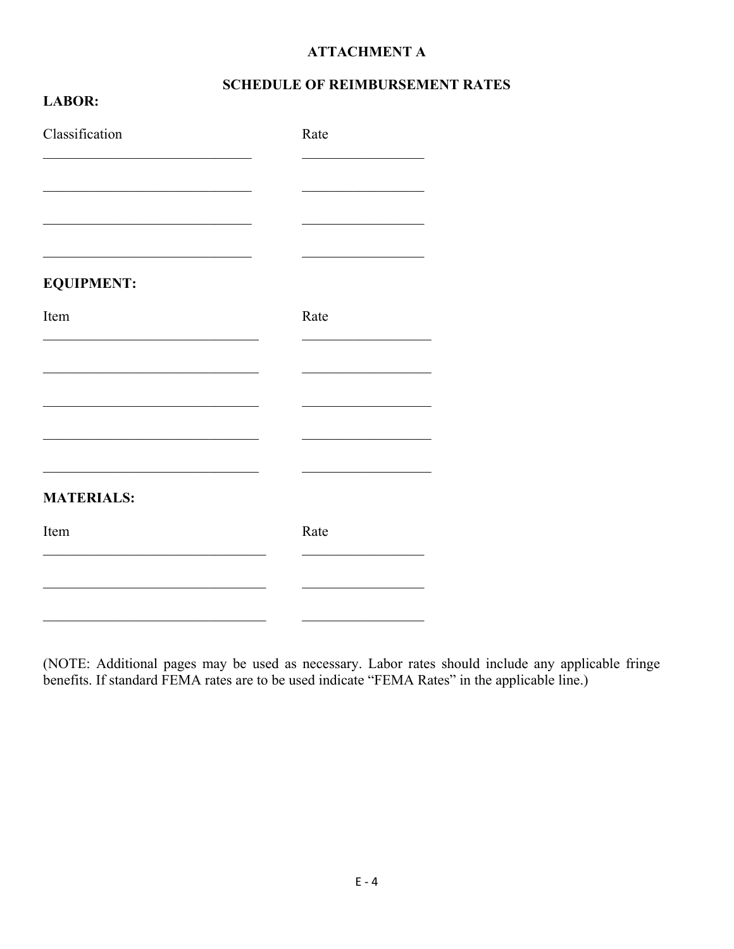#### **ATTACHMENT A**

### **SCHEDULE OF REIMBURSEMENT RATES**

| Classification    | Rate |
|-------------------|------|
|                   |      |
|                   |      |
| <b>EQUIPMENT:</b> |      |
| Item              | Rate |
|                   |      |
|                   |      |
|                   |      |
| <b>MATERIALS:</b> |      |
| Item              | Rate |
|                   |      |
|                   |      |

**LABOR:** 

(NOTE: Additional pages may be used as necessary. Labor rates should include any applicable fringe benefits. If standard FEMA rates are to be used indicate "FEMA Rates" in the applicable line.)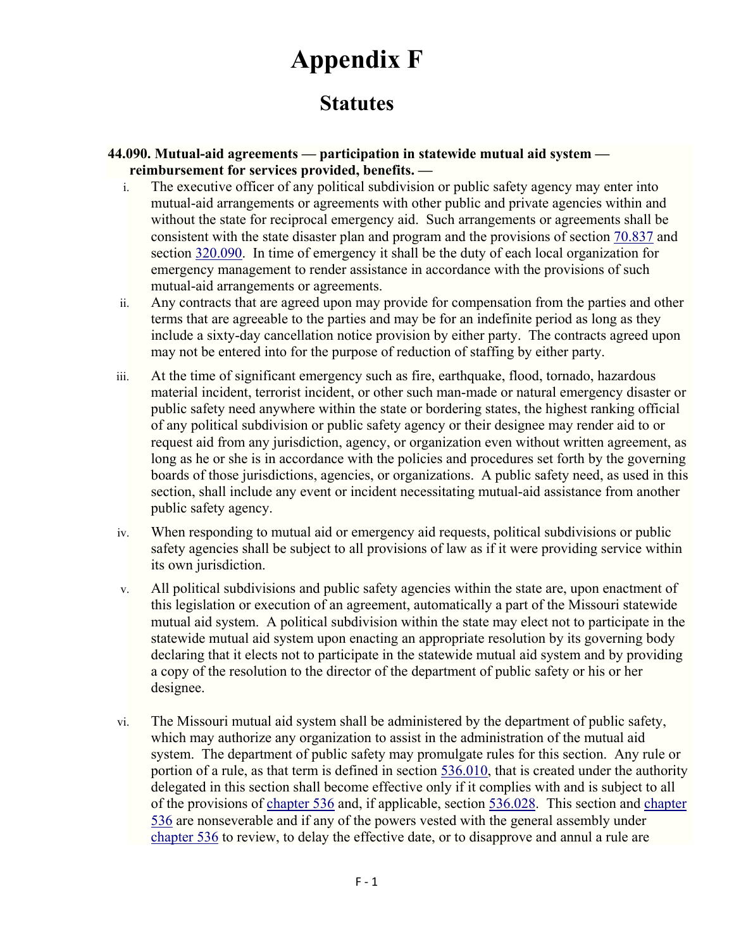# **Appendix F**

### **Statutes**

#### **44.090. Mutual-aid agreements — participation in statewide mutual aid system reimbursement for services provided, benefits. —**

- i. The executive officer of any political subdivision or public safety agency may enter into mutual-aid arrangements or agreements with other public and private agencies within and without the state for reciprocal emergency aid. Such arrangements or agreements shall be consistent with the state disaster plan and program and the provisions of section 70.837 and section 320.090. In time of emergency it shall be the duty of each local organization for emergency management to render assistance in accordance with the provisions of such mutual-aid arrangements or agreements.
- ii. Any contracts that are agreed upon may provide for compensation from the parties and other terms that are agreeable to the parties and may be for an indefinite period as long as they include a sixty-day cancellation notice provision by either party. The contracts agreed upon may not be entered into for the purpose of reduction of staffing by either party.
- iii. At the time of significant emergency such as fire, earthquake, flood, tornado, hazardous material incident, terrorist incident, or other such man-made or natural emergency disaster or public safety need anywhere within the state or bordering states, the highest ranking official of any political subdivision or public safety agency or their designee may render aid to or request aid from any jurisdiction, agency, or organization even without written agreement, as long as he or she is in accordance with the policies and procedures set forth by the governing boards of those jurisdictions, agencies, or organizations. A public safety need, as used in this section, shall include any event or incident necessitating mutual-aid assistance from another public safety agency.
- iv. When responding to mutual aid or emergency aid requests, political subdivisions or public safety agencies shall be subject to all provisions of law as if it were providing service within its own jurisdiction.
- v. All political subdivisions and public safety agencies within the state are, upon enactment of this legislation or execution of an agreement, automatically a part of the Missouri statewide mutual aid system. A political subdivision within the state may elect not to participate in the statewide mutual aid system upon enacting an appropriate resolution by its governing body declaring that it elects not to participate in the statewide mutual aid system and by providing a copy of the resolution to the director of the department of public safety or his or her designee.
- vi. The Missouri mutual aid system shall be administered by the department of public safety, which may authorize any organization to assist in the administration of the mutual aid system. The department of public safety may promulgate rules for this section. Any rule or portion of a rule, as that term is defined in section 536.010, that is created under the authority delegated in this section shall become effective only if it complies with and is subject to all of the provisions of chapter 536 and, if applicable, section 536.028. This section and chapter 536 are nonseverable and if any of the powers vested with the general assembly under chapter 536 to review, to delay the effective date, or to disapprove and annul a rule are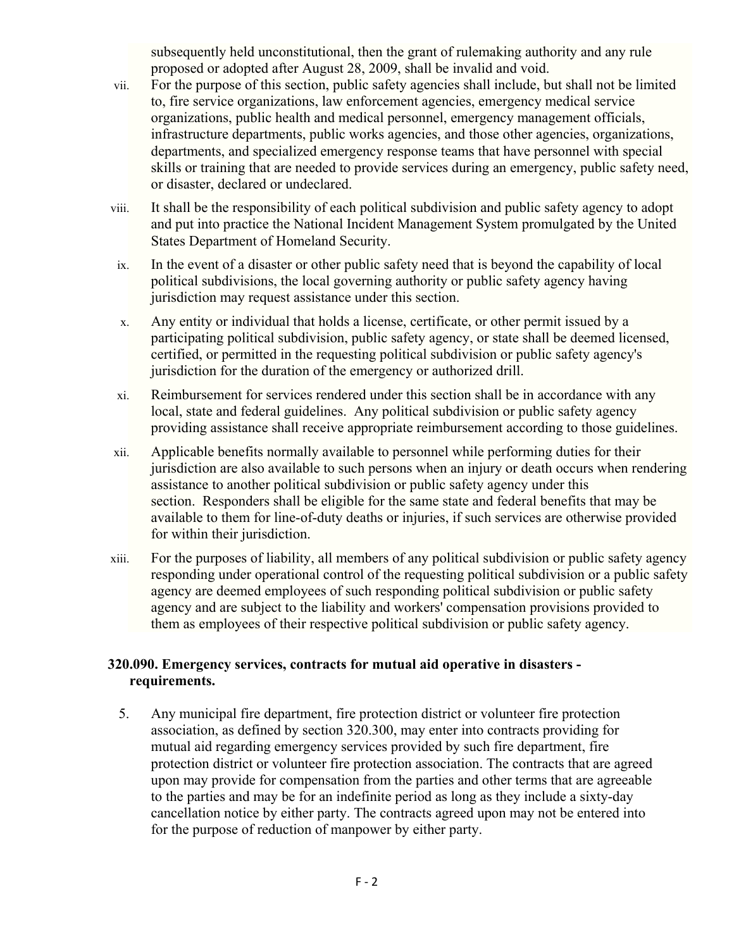subsequently held unconstitutional, then the grant of rulemaking authority and any rule proposed or adopted after August 28, 2009, shall be invalid and void.

- vii. For the purpose of this section, public safety agencies shall include, but shall not be limited to, fire service organizations, law enforcement agencies, emergency medical service organizations, public health and medical personnel, emergency management officials, infrastructure departments, public works agencies, and those other agencies, organizations, departments, and specialized emergency response teams that have personnel with special skills or training that are needed to provide services during an emergency, public safety need, or disaster, declared or undeclared.
- viii. It shall be the responsibility of each political subdivision and public safety agency to adopt and put into practice the National Incident Management System promulgated by the United States Department of Homeland Security.
- ix. In the event of a disaster or other public safety need that is beyond the capability of local political subdivisions, the local governing authority or public safety agency having jurisdiction may request assistance under this section.
- x. Any entity or individual that holds a license, certificate, or other permit issued by a participating political subdivision, public safety agency, or state shall be deemed licensed, certified, or permitted in the requesting political subdivision or public safety agency's jurisdiction for the duration of the emergency or authorized drill.
- xi. Reimbursement for services rendered under this section shall be in accordance with any local, state and federal guidelines. Any political subdivision or public safety agency providing assistance shall receive appropriate reimbursement according to those guidelines.
- xii. Applicable benefits normally available to personnel while performing duties for their jurisdiction are also available to such persons when an injury or death occurs when rendering assistance to another political subdivision or public safety agency under this section. Responders shall be eligible for the same state and federal benefits that may be available to them for line-of-duty deaths or injuries, if such services are otherwise provided for within their jurisdiction.
- xiii. For the purposes of liability, all members of any political subdivision or public safety agency responding under operational control of the requesting political subdivision or a public safety agency are deemed employees of such responding political subdivision or public safety agency and are subject to the liability and workers' compensation provisions provided to them as employees of their respective political subdivision or public safety agency.

### **320.090. Emergency services, contracts for mutual aid operative in disasters requirements.**

5. Any municipal fire department, fire protection district or volunteer fire protection association, as defined by section 320.300, may enter into contracts providing for mutual aid regarding emergency services provided by such fire department, fire protection district or volunteer fire protection association. The contracts that are agreed upon may provide for compensation from the parties and other terms that are agreeable to the parties and may be for an indefinite period as long as they include a sixty-day cancellation notice by either party. The contracts agreed upon may not be entered into for the purpose of reduction of manpower by either party.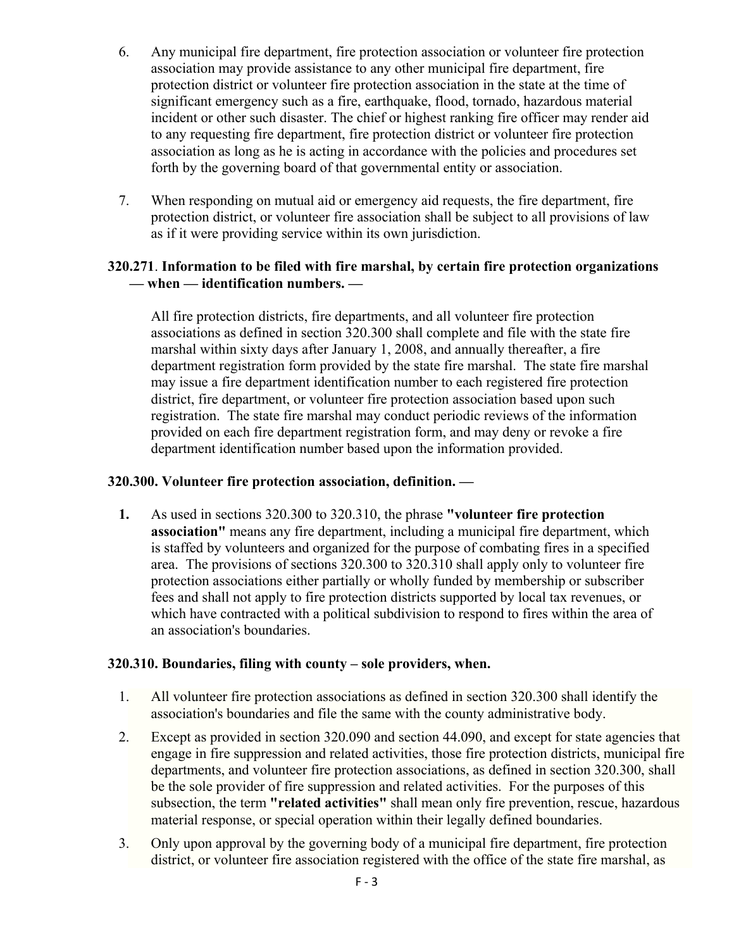- 6. Any municipal fire department, fire protection association or volunteer fire protection association may provide assistance to any other municipal fire department, fire protection district or volunteer fire protection association in the state at the time of significant emergency such as a fire, earthquake, flood, tornado, hazardous material incident or other such disaster. The chief or highest ranking fire officer may render aid to any requesting fire department, fire protection district or volunteer fire protection association as long as he is acting in accordance with the policies and procedures set forth by the governing board of that governmental entity or association.
- 7. When responding on mutual aid or emergency aid requests, the fire department, fire protection district, or volunteer fire association shall be subject to all provisions of law as if it were providing service within its own jurisdiction.

### **320.271**. **Information to be filed with fire marshal, by certain fire protection organizations — when — identification numbers. —**

All fire protection districts, fire departments, and all volunteer fire protection associations as defined in section 320.300 shall complete and file with the state fire marshal within sixty days after January 1, 2008, and annually thereafter, a fire department registration form provided by the state fire marshal. The state fire marshal may issue a fire department identification number to each registered fire protection district, fire department, or volunteer fire protection association based upon such registration. The state fire marshal may conduct periodic reviews of the information provided on each fire department registration form, and may deny or revoke a fire department identification number based upon the information provided.

### **320.300. Volunteer fire protection association, definition. —**

**1.** As used in sections 320.300 to 320.310, the phrase **"volunteer fire protection association"** means any fire department, including a municipal fire department, which is staffed by volunteers and organized for the purpose of combating fires in a specified area. The provisions of sections 320.300 to 320.310 shall apply only to volunteer fire protection associations either partially or wholly funded by membership or subscriber fees and shall not apply to fire protection districts supported by local tax revenues, or which have contracted with a political subdivision to respond to fires within the area of an association's boundaries.

#### **320.310. Boundaries, filing with county – sole providers, when.**

- 1. All volunteer fire protection associations as defined in section 320.300 shall identify the association's boundaries and file the same with the county administrative body.
- 2. Except as provided in section 320.090 and section 44.090, and except for state agencies that engage in fire suppression and related activities, those fire protection districts, municipal fire departments, and volunteer fire protection associations, as defined in section 320.300, shall be the sole provider of fire suppression and related activities. For the purposes of this subsection, the term **"related activities"** shall mean only fire prevention, rescue, hazardous material response, or special operation within their legally defined boundaries.
- 3. Only upon approval by the governing body of a municipal fire department, fire protection district, or volunteer fire association registered with the office of the state fire marshal, as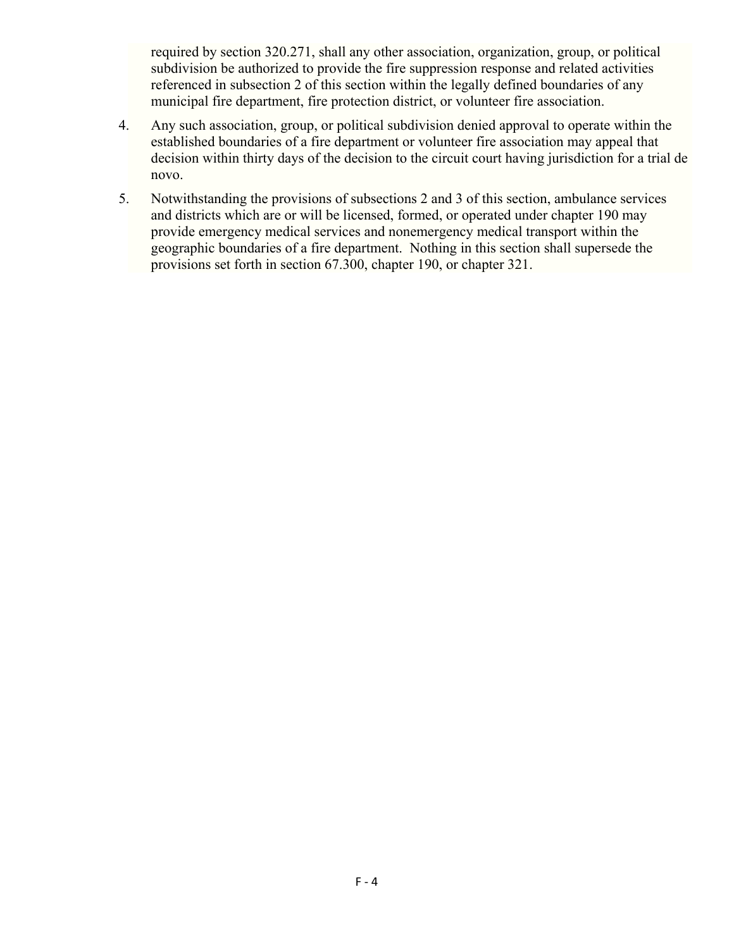required by section 320.271, shall any other association, organization, group, or political subdivision be authorized to provide the fire suppression response and related activities referenced in subsection 2 of this section within the legally defined boundaries of any municipal fire department, fire protection district, or volunteer fire association.

- 4. Any such association, group, or political subdivision denied approval to operate within the established boundaries of a fire department or volunteer fire association may appeal that decision within thirty days of the decision to the circuit court having jurisdiction for a trial de novo.
- 5. Notwithstanding the provisions of subsections 2 and 3 of this section, ambulance services and districts which are or will be licensed, formed, or operated under chapter 190 may provide emergency medical services and nonemergency medical transport within the geographic boundaries of a fire department. Nothing in this section shall supersede the provisions set forth in section 67.300, chapter 190, or chapter 321.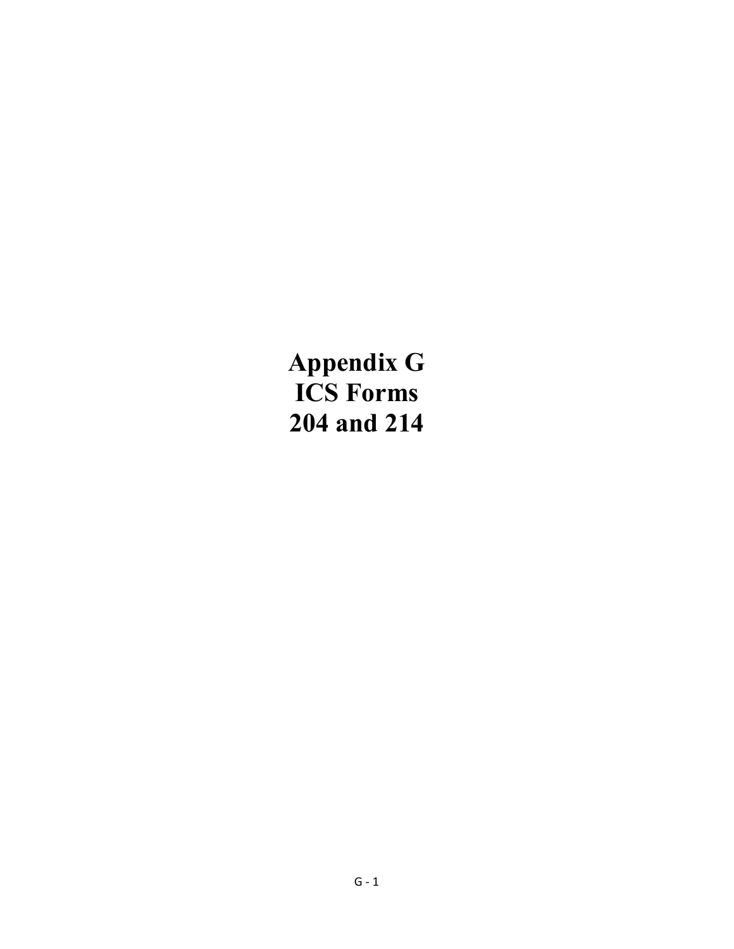**Appendix G ICS Forms 204 and 214**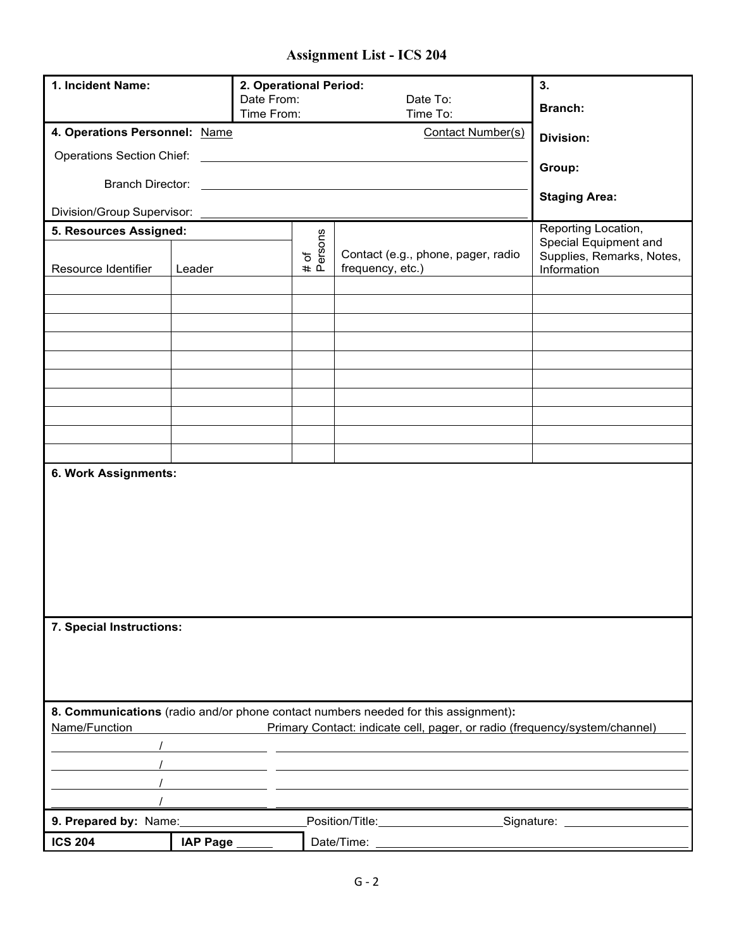### **Assignment List - ICS 204**

| 1. Incident Name:                |                  | 2. Operational Period:<br>Date From:<br>Time From: |                                                                           | Date To:<br>Time To:                                                               | 3.<br><b>Branch:</b>                                              |  |  |  |
|----------------------------------|------------------|----------------------------------------------------|---------------------------------------------------------------------------|------------------------------------------------------------------------------------|-------------------------------------------------------------------|--|--|--|
| 4. Operations Personnel: Name    | <b>Division:</b> |                                                    |                                                                           |                                                                                    |                                                                   |  |  |  |
| <b>Operations Section Chief:</b> |                  | the control of the control of the control of       |                                                                           |                                                                                    |                                                                   |  |  |  |
| <b>Branch Director:</b>          |                  |                                                    |                                                                           |                                                                                    | Group:                                                            |  |  |  |
| Division/Group Supervisor:       |                  |                                                    |                                                                           |                                                                                    | <b>Staging Area:</b>                                              |  |  |  |
| 5. Resources Assigned:           |                  |                                                    |                                                                           |                                                                                    | Reporting Location,                                               |  |  |  |
| Resource Identifier              | Leader           |                                                    | # of<br>Persons<br>Contact (e.g., phone, pager, radio<br>frequency, etc.) |                                                                                    | Special Equipment and<br>Supplies, Remarks, Notes,<br>Information |  |  |  |
|                                  |                  |                                                    |                                                                           |                                                                                    |                                                                   |  |  |  |
|                                  |                  |                                                    |                                                                           |                                                                                    |                                                                   |  |  |  |
|                                  |                  |                                                    |                                                                           |                                                                                    |                                                                   |  |  |  |
|                                  |                  |                                                    |                                                                           |                                                                                    |                                                                   |  |  |  |
|                                  |                  |                                                    |                                                                           |                                                                                    |                                                                   |  |  |  |
|                                  |                  |                                                    |                                                                           |                                                                                    |                                                                   |  |  |  |
|                                  |                  |                                                    |                                                                           |                                                                                    |                                                                   |  |  |  |
|                                  |                  |                                                    |                                                                           |                                                                                    |                                                                   |  |  |  |
| 6. Work Assignments:             |                  |                                                    |                                                                           |                                                                                    |                                                                   |  |  |  |
|                                  |                  |                                                    |                                                                           |                                                                                    |                                                                   |  |  |  |
|                                  |                  |                                                    |                                                                           |                                                                                    |                                                                   |  |  |  |
|                                  |                  |                                                    |                                                                           |                                                                                    |                                                                   |  |  |  |
|                                  |                  |                                                    |                                                                           |                                                                                    |                                                                   |  |  |  |
|                                  |                  |                                                    |                                                                           |                                                                                    |                                                                   |  |  |  |
|                                  |                  |                                                    |                                                                           |                                                                                    |                                                                   |  |  |  |
| 7. Special Instructions:         |                  |                                                    |                                                                           |                                                                                    |                                                                   |  |  |  |
|                                  |                  |                                                    |                                                                           |                                                                                    |                                                                   |  |  |  |
|                                  |                  |                                                    |                                                                           |                                                                                    |                                                                   |  |  |  |
|                                  |                  |                                                    |                                                                           |                                                                                    |                                                                   |  |  |  |
|                                  |                  |                                                    |                                                                           | 8. Communications (radio and/or phone contact numbers needed for this assignment): |                                                                   |  |  |  |
| Name/Function                    |                  |                                                    |                                                                           | Primary Contact: indicate cell, pager, or radio (frequency/system/channel)         |                                                                   |  |  |  |
|                                  |                  |                                                    |                                                                           |                                                                                    |                                                                   |  |  |  |
|                                  |                  |                                                    |                                                                           |                                                                                    |                                                                   |  |  |  |
|                                  |                  |                                                    |                                                                           |                                                                                    |                                                                   |  |  |  |
| 9. Prepared by: Name:            |                  |                                                    |                                                                           | Position/Title: Signature: Signature:                                              |                                                                   |  |  |  |
| <b>ICS 204</b>                   | IAP Page _       |                                                    | Date/Time:                                                                |                                                                                    |                                                                   |  |  |  |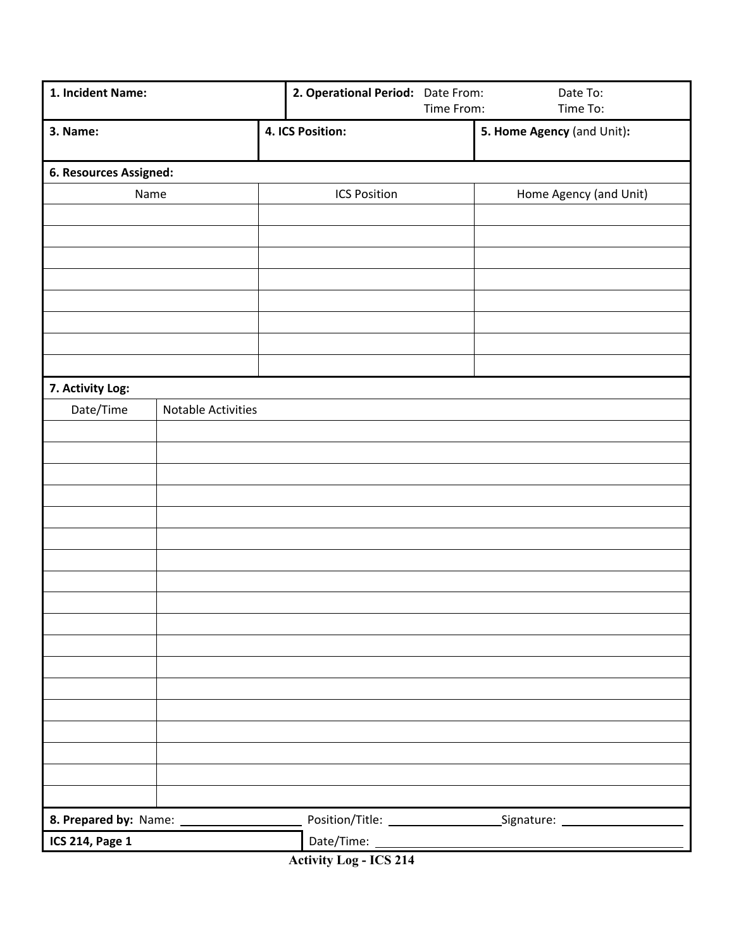| 1. Incident Name:      |                           | 2. Operational Period: Date From: | Time From: | Date To:<br>Time To:       |
|------------------------|---------------------------|-----------------------------------|------------|----------------------------|
| 3. Name:               |                           | 4. ICS Position:                  |            | 5. Home Agency (and Unit): |
| 6. Resources Assigned: |                           |                                   |            |                            |
| Name                   |                           | <b>ICS Position</b>               |            | Home Agency (and Unit)     |
|                        |                           |                                   |            |                            |
|                        |                           |                                   |            |                            |
|                        |                           |                                   |            |                            |
|                        |                           |                                   |            |                            |
|                        |                           |                                   |            |                            |
|                        |                           |                                   |            |                            |
|                        |                           |                                   |            |                            |
| 7. Activity Log:       |                           |                                   |            |                            |
| Date/Time              | <b>Notable Activities</b> |                                   |            |                            |
|                        |                           |                                   |            |                            |
|                        |                           |                                   |            |                            |
|                        |                           |                                   |            |                            |
|                        |                           |                                   |            |                            |
|                        |                           |                                   |            |                            |
|                        |                           |                                   |            |                            |
|                        |                           |                                   |            |                            |
|                        |                           |                                   |            |                            |
|                        |                           |                                   |            |                            |
|                        |                           |                                   |            |                            |
|                        |                           |                                   |            |                            |
|                        |                           |                                   |            |                            |
|                        |                           |                                   |            |                            |
|                        |                           |                                   |            |                            |
|                        |                           |                                   |            |                            |
|                        |                           |                                   |            |                            |
|                        |                           |                                   |            |                            |
|                        |                           |                                   |            |                            |
| <b>ICS 214, Page 1</b> |                           |                                   |            |                            |

**Activity Log - ICS 214**